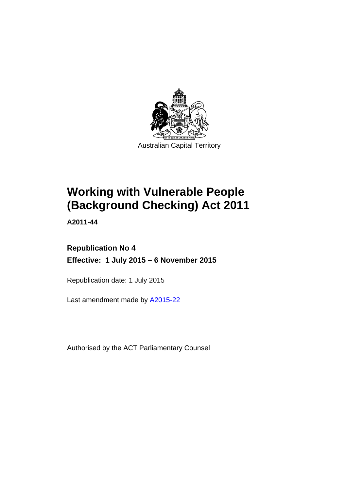

# **Working with Vulnerable People (Background Checking) Act 2011**

**A2011-44** 

# **Republication No 4 Effective: 1 July 2015 – 6 November 2015**

Republication date: 1 July 2015

Last amendment made by [A2015-22](http://www.legislation.act.gov.au/a/2015-22)

Authorised by the ACT Parliamentary Counsel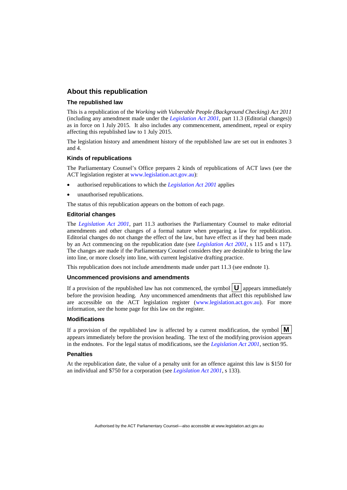### **About this republication**

#### **The republished law**

This is a republication of the *Working with Vulnerable People (Background Checking) Act 2011* (including any amendment made under the *[Legislation Act 2001](http://www.legislation.act.gov.au/a/2001-14)*, part 11.3 (Editorial changes)) as in force on 1 July 2015*.* It also includes any commencement, amendment, repeal or expiry affecting this republished law to 1 July 2015.

The legislation history and amendment history of the republished law are set out in endnotes 3 and 4.

#### **Kinds of republications**

The Parliamentary Counsel's Office prepares 2 kinds of republications of ACT laws (see the ACT legislation register at [www.legislation.act.gov.au](http://www.legislation.act.gov.au/)):

- authorised republications to which the *[Legislation Act 2001](http://www.legislation.act.gov.au/a/2001-14)* applies
- unauthorised republications.

The status of this republication appears on the bottom of each page.

#### **Editorial changes**

The *[Legislation Act 2001](http://www.legislation.act.gov.au/a/2001-14)*, part 11.3 authorises the Parliamentary Counsel to make editorial amendments and other changes of a formal nature when preparing a law for republication. Editorial changes do not change the effect of the law, but have effect as if they had been made by an Act commencing on the republication date (see *[Legislation Act 2001](http://www.legislation.act.gov.au/a/2001-14)*, s 115 and s 117). The changes are made if the Parliamentary Counsel considers they are desirable to bring the law into line, or more closely into line, with current legislative drafting practice.

This republication does not include amendments made under part 11.3 (see endnote 1).

#### **Uncommenced provisions and amendments**

If a provision of the republished law has not commenced, the symbol  $\mathbf{U}$  appears immediately before the provision heading. Any uncommenced amendments that affect this republished law are accessible on the ACT legislation register [\(www.legislation.act.gov.au\)](http://www.legislation.act.gov.au/). For more information, see the home page for this law on the register.

#### **Modifications**

If a provision of the republished law is affected by a current modification, the symbol  $\mathbf{M}$ appears immediately before the provision heading. The text of the modifying provision appears in the endnotes. For the legal status of modifications, see the *[Legislation Act 2001](http://www.legislation.act.gov.au/a/2001-14)*, section 95.

#### **Penalties**

At the republication date, the value of a penalty unit for an offence against this law is \$150 for an individual and \$750 for a corporation (see *[Legislation Act 2001](http://www.legislation.act.gov.au/a/2001-14)*, s 133).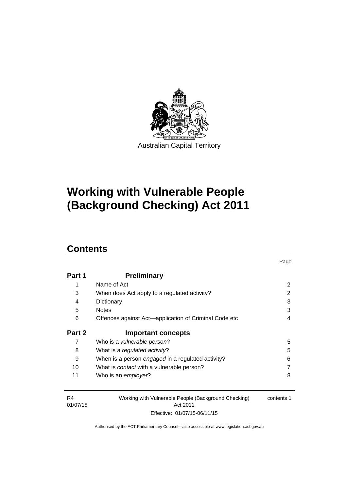

# **Working with Vulnerable People (Background Checking) Act 2011**

# **Contents**

| Part 1 | <b>Preliminary</b>                                    |   |
|--------|-------------------------------------------------------|---|
| 1      | Name of Act                                           | 2 |
| 3      | When does Act apply to a regulated activity?          | 2 |
| 4      | Dictionary                                            | 3 |
| 5      | <b>Notes</b>                                          | 3 |
| 6      | Offences against Act-application of Criminal Code etc | 4 |
|        |                                                       |   |
| Part 2 | <b>Important concepts</b>                             |   |
| 7      | Who is a <i>vulnerable person</i> ?                   | 5 |
| 8      | What is a regulated activity?                         | 5 |
| 9      | When is a person engaged in a regulated activity?     | 6 |
| 10     | What is <i>contact</i> with a vulnerable person?      |   |

Page

| R4       | Working with Vulnerable People (Background Checking) | contents 1 |
|----------|------------------------------------------------------|------------|
| 01/07/15 | Act 2011                                             |            |
|          | Effective: 01/07/15-06/11/15                         |            |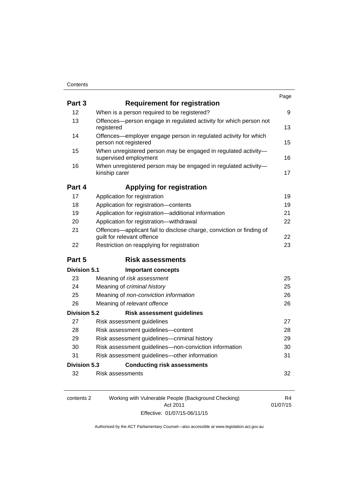| Part 3              | <b>Requirement for registration</b>                                                                |    |
|---------------------|----------------------------------------------------------------------------------------------------|----|
| 12                  | When is a person required to be registered?                                                        | 9  |
| 13                  | Offences-person engage in regulated activity for which person not<br>registered                    | 13 |
| 14                  | Offences—employer engage person in regulated activity for which<br>person not registered           | 15 |
| 15                  | When unregistered person may be engaged in regulated activity-<br>supervised employment            | 16 |
| 16                  | When unregistered person may be engaged in regulated activity-<br>kinship carer                    | 17 |
| Part 4              | <b>Applying for registration</b>                                                                   |    |
| 17                  | Application for registration                                                                       | 19 |
| 18                  | Application for registration-contents                                                              | 19 |
| 19                  | Application for registration-additional information                                                | 21 |
| 20                  | Application for registration-withdrawal                                                            | 22 |
| 21                  | Offences-applicant fail to disclose charge, conviction or finding of<br>guilt for relevant offence | 22 |
| 22                  | Restriction on reapplying for registration                                                         | 23 |
| Part 5              | <b>Risk assessments</b>                                                                            |    |
| Division 5.1        | <b>Important concepts</b>                                                                          |    |
| 23                  | Meaning of risk assessment                                                                         | 25 |
| 24                  | Meaning of criminal history                                                                        | 25 |
| 25                  | Meaning of non-conviction information                                                              | 26 |
| 26                  | Meaning of relevant offence                                                                        | 26 |
| <b>Division 5.2</b> | <b>Risk assessment guidelines</b>                                                                  |    |
| 27                  | Risk assessment guidelines                                                                         | 27 |
| 28                  | Risk assessment guidelines-content                                                                 | 28 |
| 29                  | Risk assessment guidelines-criminal history                                                        | 29 |
| 30                  | Risk assessment guidelines-non-conviction information                                              | 30 |
| 31                  | Risk assessment guidelines-other information                                                       | 31 |
| <b>Division 5.3</b> | <b>Conducting risk assessments</b>                                                                 |    |
| 32                  | Risk assessments                                                                                   | 32 |

| contents 2 | Working with Vulnerable People (Background Checking) | R4       |
|------------|------------------------------------------------------|----------|
|            | Act 2011                                             | 01/07/15 |
|            | Effective: 01/07/15-06/11/15                         |          |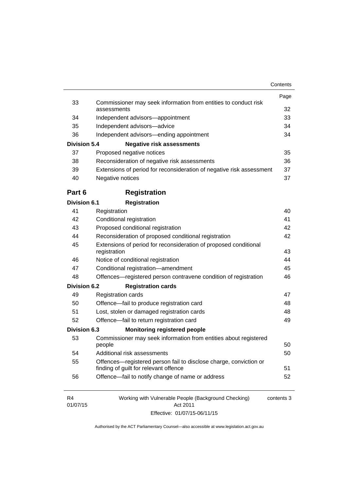|                            |                                                                                  | Page       |
|----------------------------|----------------------------------------------------------------------------------|------------|
| 33                         | Commissioner may seek information from entities to conduct risk<br>assessments   | 32         |
| 34                         | Independent advisors-appointment                                                 | 33         |
| 35                         | Independent advisors-advice                                                      | 34         |
| 36                         | Independent advisors—ending appointment                                          | 34         |
| <b>Division 5.4</b>        | <b>Negative risk assessments</b>                                                 |            |
| 37                         | Proposed negative notices                                                        | 35         |
| 38                         | Reconsideration of negative risk assessments                                     | 36         |
| 39                         | Extensions of period for reconsideration of negative risk assessment             | 37         |
| 40                         | Negative notices                                                                 | 37         |
| Part 6                     | <b>Registration</b>                                                              |            |
| <b>Division 6.1</b>        | <b>Registration</b>                                                              |            |
| 41                         | Registration                                                                     | 40         |
| 42                         | Conditional registration                                                         | 41         |
| 43                         | Proposed conditional registration                                                | 42         |
| 44                         | Reconsideration of proposed conditional registration                             | 42         |
| 45                         | Extensions of period for reconsideration of proposed conditional<br>registration |            |
| 46                         | Notice of conditional registration                                               | 43<br>44   |
| 47                         | Conditional registration-amendment                                               | 45         |
| 48                         | Offences-registered person contravene condition of registration                  | 46         |
| <b>Division 6.2</b>        | <b>Registration cards</b>                                                        |            |
| 49                         | <b>Registration cards</b>                                                        | 47         |
| 50                         | Offence-fail to produce registration card                                        | 48         |
| 51                         | Lost, stolen or damaged registration cards                                       | 48         |
| 52                         | Offence-fail to return registration card                                         | 49         |
| <b>Division 6.3</b>        | <b>Monitoring registered people</b>                                              |            |
| 53                         | Commissioner may seek information from entities about registered<br>people       | 50         |
| 54                         | Additional risk assessments                                                      | 50         |
| 55                         | Offences—registered person fail to disclose charge, conviction or                |            |
|                            | finding of guilt for relevant offence                                            | 51         |
| 56                         | Offence-fail to notify change of name or address                                 | 52         |
| R <sub>4</sub><br>01/07/15 | Working with Vulnerable People (Background Checking)<br>Act 2011                 | contents 3 |

Effective: 01/07/15-06/11/15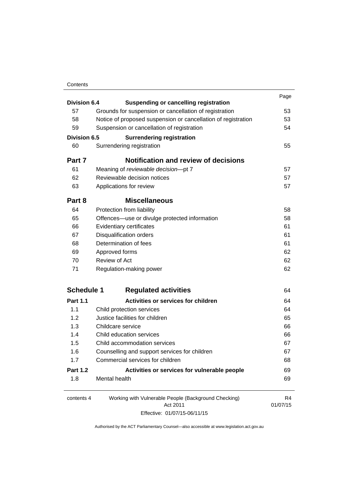### **Contents**

| Division 6.4        |                                                               | Page     |
|---------------------|---------------------------------------------------------------|----------|
|                     | <b>Suspending or cancelling registration</b>                  |          |
| 57                  | Grounds for suspension or cancellation of registration        | 53       |
| 58                  | Notice of proposed suspension or cancellation of registration | 53       |
| 59                  | Suspension or cancellation of registration                    | 54       |
| <b>Division 6.5</b> | <b>Surrendering registration</b>                              |          |
| 60                  | Surrendering registration                                     | 55       |
| Part 7              | <b>Notification and review of decisions</b>                   |          |
| 61                  | Meaning of reviewable decision-pt 7                           | 57       |
| 62                  | Reviewable decision notices                                   | 57       |
| 63                  | Applications for review                                       | 57       |
| Part 8              | <b>Miscellaneous</b>                                          |          |
| 64                  | Protection from liability                                     | 58       |
| 65                  | Offences—use or divulge protected information                 | 58       |
| 66                  | Evidentiary certificates                                      | 61       |
| 67                  | <b>Disqualification orders</b>                                | 61       |
| 68                  | Determination of fees                                         | 61       |
| 69                  | Approved forms                                                | 62       |
| 70                  | <b>Review of Act</b>                                          | 62       |
| 71                  | Regulation-making power                                       | 62       |
| <b>Schedule 1</b>   | <b>Regulated activities</b>                                   | 64       |
| <b>Part 1.1</b>     | <b>Activities or services for children</b>                    | 64       |
| 1.1                 | Child protection services                                     | 64       |
| 1.2                 | Justice facilities for children                               | 65       |
| 1.3                 | Childcare service                                             | 66       |
| 1.4                 | Child education services                                      | 66       |
| 1.5                 | Child accommodation services                                  | 67       |
| 1.6                 | Counselling and support services for children                 | 67       |
| 1.7                 | Commercial services for children                              | 68       |
| <b>Part 1.2</b>     | Activities or services for vulnerable people                  | 69       |
| 1.8                 | Mental health                                                 | 69       |
| contents 4          | Working with Vulnerable People (Background Checking)          | R4       |
|                     | Act 2011                                                      | 01/07/15 |

Effective: 01/07/15-06/11/15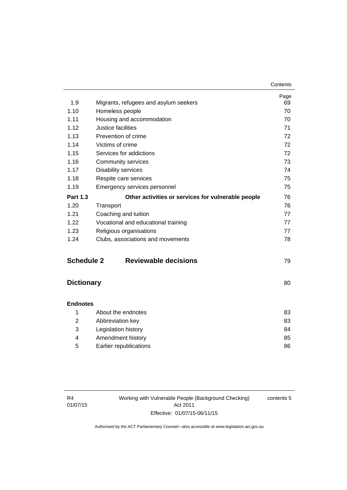| 1.9               | Migrants, refugees and asylum seekers              | Page<br>69 |
|-------------------|----------------------------------------------------|------------|
| 1.10              | Homeless people                                    | 70         |
| 1.11              | Housing and accommodation                          | 70         |
| 1.12              | Justice facilities                                 | 71         |
| 1.13              | Prevention of crime                                | 72         |
| 1.14              | Victims of crime                                   | 72         |
| 1.15              | Services for addictions                            | 72         |
| 1.16              | <b>Community services</b>                          | 73         |
| 1.17              | <b>Disability services</b>                         | 74         |
| 1.18              | Respite care services                              | 75         |
| 1.19              | Emergency services personnel                       | 75         |
| <b>Part 1.3</b>   | Other activities or services for vulnerable people | 76         |
| 1.20              | Transport                                          | 76         |
| 1.21              | Coaching and tuition                               | 77         |
| 1.22              | Vocational and educational training                | 77         |
| 1.23              | Religious organisations                            | 77         |
| 1.24              | Clubs, associations and movements                  | 78         |
| <b>Schedule 2</b> | <b>Reviewable decisions</b>                        | 79         |
| <b>Dictionary</b> |                                                    | 80         |
| <b>Endnotes</b>   |                                                    |            |
| 1                 | About the endnotes                                 | 83         |
| 2                 | Abbreviation key                                   | 83         |
| 3                 | Legislation history                                | 84         |

|   | Legislation history    | 84 |
|---|------------------------|----|
|   | Amendment history      | 85 |
| 5 | Earlier republications | 86 |

Working with Vulnerable People (Background Checking) Act 2011 Effective: 01/07/15-06/11/15

contents 5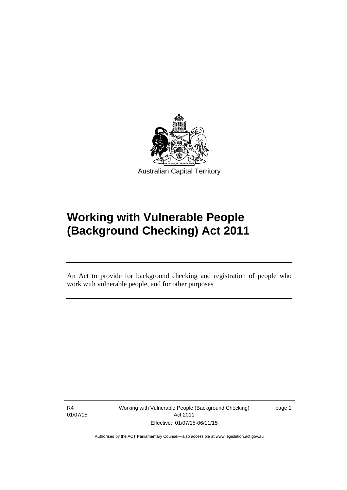

# **Working with Vulnerable People (Background Checking) Act 2011**

An Act to provide for background checking and registration of people who work with vulnerable people, and for other purposes

R4 01/07/15

Ī

Working with Vulnerable People (Background Checking) Act 2011 Effective: 01/07/15-06/11/15

page 1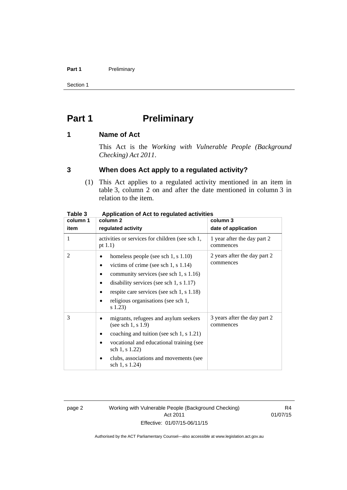#### Part 1 **Preliminary**

Section 1

# <span id="page-9-0"></span>**Part 1** Preliminary

### <span id="page-9-1"></span>**1 Name of Act**

This Act is the *Working with Vulnerable People (Background Checking) Act 2011*.

### <span id="page-9-2"></span>**3 When does Act apply to a regulated activity?**

(1) This Act applies to a regulated activity mentioned in an item in table 3, column 2 on and after the date mentioned in column 3 in relation to the item.

| rapie s  | Application of Act to regulated activities                                                                                                                                                                                                                           |                                           |  |
|----------|----------------------------------------------------------------------------------------------------------------------------------------------------------------------------------------------------------------------------------------------------------------------|-------------------------------------------|--|
| column 1 | column 2                                                                                                                                                                                                                                                             | column 3                                  |  |
| item     | regulated activity                                                                                                                                                                                                                                                   | date of application                       |  |
| 1        | activities or services for children (see sch 1,<br>pt $1.1$ )                                                                                                                                                                                                        | 1 year after the day part 2<br>commences  |  |
| 2        | homeless people (see sch 1, s 1.10)<br>victims of crime (see sch 1, s $1.14$ )<br>community services (see sch 1, s 1.16)<br>disability services (see sch 1, $s$ 1.17)<br>respite care services (see sch 1, s 1.18)<br>religious organisations (see sch 1,<br>s 1.23) | 2 years after the day part 2<br>commences |  |
| 3        | migrants, refugees and asylum seekers<br>(see sch 1, $s$ 1.9)<br>coaching and tuition (see sch 1, s 1.21)<br>vocational and educational training (see<br>sch 1, s 1.22)<br>clubs, associations and movements (see<br>sch 1, s 1.24)                                  | 3 years after the day part 2<br>commences |  |

### **Table 3 Application of Act to regulated activities**

page 2 Working with Vulnerable People (Background Checking) Act 2011 Effective: 01/07/15-06/11/15

R4 01/07/15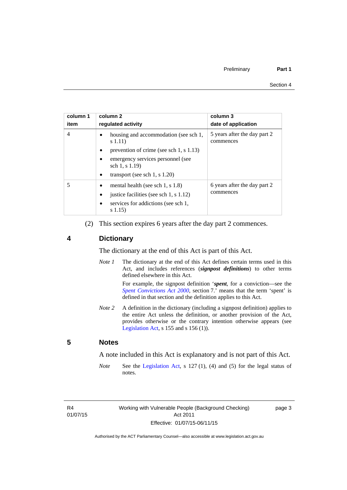| column 1<br>item | column 2<br>requlated activity                              | column 3<br>date of application           |
|------------------|-------------------------------------------------------------|-------------------------------------------|
| 4                | housing and accommodation (see sch 1,<br>s(1.11)            | 5 years after the day part 2<br>commences |
|                  | prevention of crime (see sch 1, $\vert$ 1.13)<br>$\bullet$  |                                           |
|                  | emergency services personnel (see<br>sch 1, s 1.19)         |                                           |
|                  | transport (see sch 1, s $1.20$ )<br>٠                       |                                           |
|                  | mental health (see sch 1, s $1.8$ )                         | 6 years after the day part 2<br>commences |
|                  | justice facilities (see sch 1, s 1.12)<br>$\bullet$         |                                           |
|                  | services for addictions (see sch 1,<br>$\bullet$<br>s(1.15) |                                           |

(2) This section expires 6 years after the day part 2 commences.

### <span id="page-10-0"></span>**4 Dictionary**

The dictionary at the end of this Act is part of this Act.

*Note 1* The dictionary at the end of this Act defines certain terms used in this Act, and includes references (*signpost definitions*) to other terms defined elsewhere in this Act.

> For example, the signpost definition '*spent*, for a conviction—see the *[Spent Convictions Act 2000](http://www.legislation.act.gov.au/a/2000-48)*, section 7.<sup>7</sup> means that the term 'spent' is defined in that section and the definition applies to this Act.

*Note 2* A definition in the dictionary (including a signpost definition) applies to the entire Act unless the definition, or another provision of the Act, provides otherwise or the contrary intention otherwise appears (see [Legislation Act,](http://www.legislation.act.gov.au/a/2001-14)  $s$  155 and  $s$  156 (1)).

### <span id="page-10-1"></span>**5 Notes**

A note included in this Act is explanatory and is not part of this Act.

*Note* See the [Legislation Act,](http://www.legislation.act.gov.au/a/2001-14) s 127 (1), (4) and (5) for the legal status of notes.

R4 01/07/15 page 3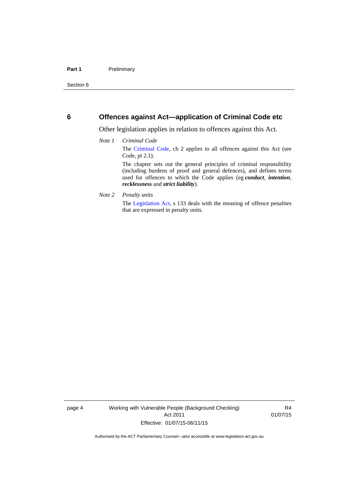### <span id="page-11-0"></span>**6 Offences against Act—application of Criminal Code etc**

Other legislation applies in relation to offences against this Act.

#### *Note 1 Criminal Code*

The [Criminal Code](http://www.legislation.act.gov.au/a/2002-51/default.asp), ch 2 applies to all offences against this Act (see Code, pt 2.1).

The chapter sets out the general principles of criminal responsibility (including burdens of proof and general defences), and defines terms used for offences to which the Code applies (eg *conduct*, *intention*, *recklessness* and *strict liability*).

#### *Note 2 Penalty units*

The [Legislation Act](http://www.legislation.act.gov.au/a/2001-14), s 133 deals with the meaning of offence penalties that are expressed in penalty units.

page 4 Working with Vulnerable People (Background Checking) Act 2011 Effective: 01/07/15-06/11/15

R4 01/07/15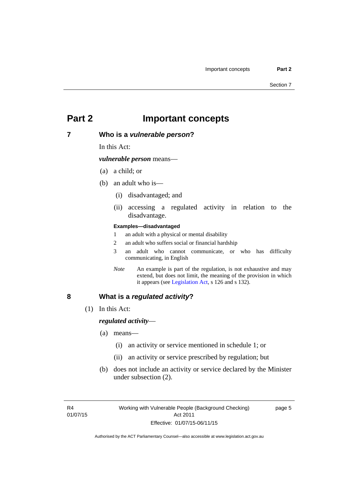## <span id="page-12-0"></span>**Part 2 Important concepts**

### <span id="page-12-1"></span>**7 Who is a** *vulnerable person***?**

In this Act:

*vulnerable person* means—

- (a) a child; or
- (b) an adult who is—
	- (i) disadvantaged; and
	- (ii) accessing a regulated activity in relation to the disadvantage.

#### **Examples—disadvantaged**

- 1 an adult with a physical or mental disability
- 2 an adult who suffers social or financial hardship
- 3 an adult who cannot communicate, or who has difficulty communicating, in English
- *Note* An example is part of the regulation, is not exhaustive and may extend, but does not limit, the meaning of the provision in which it appears (see [Legislation Act,](http://www.legislation.act.gov.au/a/2001-14) s 126 and s 132).

### <span id="page-12-2"></span>**8 What is a** *regulated activity***?**

(1) In this Act:

### *regulated activity*—

- (a) means—
	- (i) an activity or service mentioned in schedule 1; or
	- (ii) an activity or service prescribed by regulation; but
- (b) does not include an activity or service declared by the Minister under subsection (2).

page 5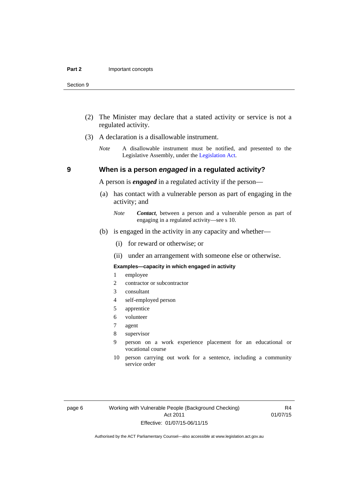- (2) The Minister may declare that a stated activity or service is not a regulated activity.
- (3) A declaration is a disallowable instrument.
	- *Note* A disallowable instrument must be notified, and presented to the Legislative Assembly, under the [Legislation Act.](http://www.legislation.act.gov.au/a/2001-14)

### **9 When is a person** *engaged* **in a regulated activity?**

A person is *engaged* in a regulated activity if the person—

- (a) has contact with a vulnerable person as part of engaging in the activity; and
	- *Note Contact*, between a person and a vulnerable person as part of engaging in a regulated activity—see s 10.
- (b) is engaged in the activity in any capacity and whether—
	- (i) for reward or otherwise; or
	- (ii) under an arrangement with someone else or otherwise.

#### **Examples—capacity in which engaged in activity**

- 1 employee
- 2 contractor or subcontractor
- 3 consultant
- 4 self-employed person
- 5 apprentice
- 6 volunteer
- 7 agent
- 8 supervisor
- 9 person on a work experience placement for an educational or vocational course
- 10 person carrying out work for a sentence, including a community service order

page 6 Working with Vulnerable People (Background Checking) Act 2011 Effective: 01/07/15-06/11/15

R4 01/07/15

<span id="page-13-0"></span>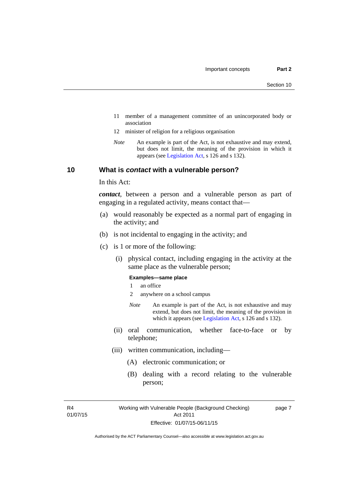- 11 member of a management committee of an unincorporated body or association
- 12 minister of religion for a religious organisation
- *Note* An example is part of the Act, is not exhaustive and may extend, but does not limit, the meaning of the provision in which it appears (see [Legislation Act,](http://www.legislation.act.gov.au/a/2001-14) s 126 and s 132).

### <span id="page-14-0"></span>**10 What is** *contact* **with a vulnerable person?**

In this Act:

*contact*, between a person and a vulnerable person as part of engaging in a regulated activity, means contact that—

- (a) would reasonably be expected as a normal part of engaging in the activity; and
- (b) is not incidental to engaging in the activity; and
- (c) is 1 or more of the following:
	- (i) physical contact, including engaging in the activity at the same place as the vulnerable person;

#### **Examples—same place**

- 1 an office
- 2 anywhere on a school campus
- *Note* An example is part of the Act, is not exhaustive and may extend, but does not limit, the meaning of the provision in which it appears (see [Legislation Act,](http://www.legislation.act.gov.au/a/2001-14) s 126 and s 132).
- (ii) oral communication, whether face-to-face or by telephone;
- (iii) written communication, including—
	- (A) electronic communication; or
	- (B) dealing with a record relating to the vulnerable person;

R4 01/07/15 page 7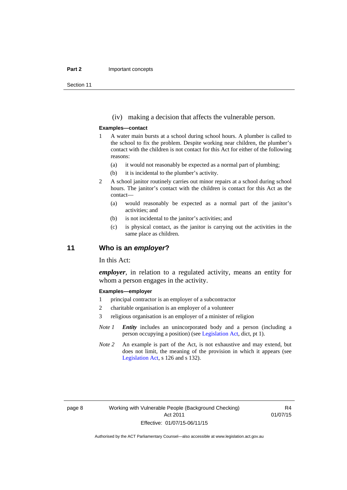#### **Part 2 Important concepts**

Section 11

(iv) making a decision that affects the vulnerable person.

#### **Examples—contact**

- 1 A water main bursts at a school during school hours. A plumber is called to the school to fix the problem. Despite working near children, the plumber's contact with the children is not contact for this Act for either of the following reasons:
	- (a) it would not reasonably be expected as a normal part of plumbing;
	- (b) it is incidental to the plumber's activity.
- 2 A school janitor routinely carries out minor repairs at a school during school hours. The janitor's contact with the children is contact for this Act as the contact—
	- (a) would reasonably be expected as a normal part of the janitor's activities; and
	- (b) is not incidental to the janitor's activities; and
	- (c) is physical contact, as the janitor is carrying out the activities in the same place as children.

### <span id="page-15-0"></span>**11 Who is an** *employer***?**

In this Act:

*employer*, in relation to a regulated activity, means an entity for whom a person engages in the activity.

#### **Examples—employer**

- 1 principal contractor is an employer of a subcontractor
- 2 charitable organisation is an employer of a volunteer
- 3 religious organisation is an employer of a minister of religion
- *Note 1 Entity* includes an unincorporated body and a person (including a person occupying a position) (see [Legislation Act,](http://www.legislation.act.gov.au/a/2001-14) dict, pt 1).
- *Note* 2 An example is part of the Act, is not exhaustive and may extend, but does not limit, the meaning of the provision in which it appears (see [Legislation Act,](http://www.legislation.act.gov.au/a/2001-14) s 126 and s 132).

R4 01/07/15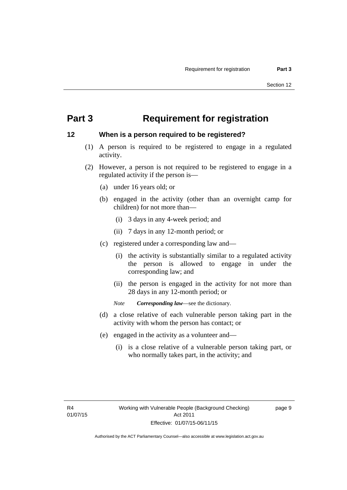## <span id="page-16-0"></span>**Part 3 Requirement for registration**

### <span id="page-16-1"></span>**12 When is a person required to be registered?**

- (1) A person is required to be registered to engage in a regulated activity.
- (2) However, a person is not required to be registered to engage in a regulated activity if the person is—
	- (a) under 16 years old; or
	- (b) engaged in the activity (other than an overnight camp for children) for not more than—
		- (i) 3 days in any 4-week period; and
		- (ii) 7 days in any 12-month period; or
	- (c) registered under a corresponding law and—
		- (i) the activity is substantially similar to a regulated activity the person is allowed to engage in under the corresponding law; and
		- (ii) the person is engaged in the activity for not more than 28 days in any 12-month period; or
		- *Note Corresponding law*—see the dictionary.
	- (d) a close relative of each vulnerable person taking part in the activity with whom the person has contact; or
	- (e) engaged in the activity as a volunteer and—
		- (i) is a close relative of a vulnerable person taking part, or who normally takes part, in the activity; and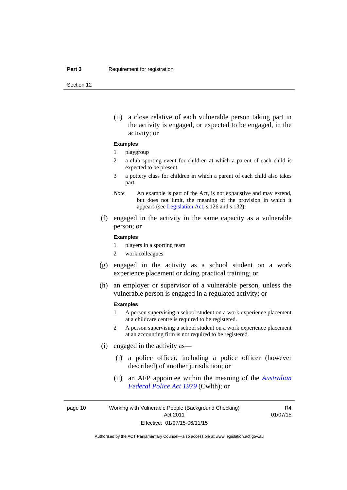Section 12

(ii) a close relative of each vulnerable person taking part in the activity is engaged, or expected to be engaged, in the activity; or

#### **Examples**

#### 1 playgroup

- 2 a club sporting event for children at which a parent of each child is expected to be present
- 3 a pottery class for children in which a parent of each child also takes part
- *Note* An example is part of the Act, is not exhaustive and may extend, but does not limit, the meaning of the provision in which it appears (see [Legislation Act,](http://www.legislation.act.gov.au/a/2001-14) s 126 and s 132).
- (f) engaged in the activity in the same capacity as a vulnerable person; or

#### **Examples**

- 1 players in a sporting team
- 2 work colleagues
- (g) engaged in the activity as a school student on a work experience placement or doing practical training; or
- (h) an employer or supervisor of a vulnerable person, unless the vulnerable person is engaged in a regulated activity; or

#### **Examples**

- 1 A person supervising a school student on a work experience placement at a childcare centre is required to be registered.
- 2 A person supervising a school student on a work experience placement at an accounting firm is not required to be registered.
- (i) engaged in the activity as—
	- (i) a police officer, including a police officer (however described) of another jurisdiction; or
	- (ii) an AFP appointee within the meaning of the *[Australian](http://www.comlaw.gov.au/Series/C2004A02068)  [Federal Police Act 1979](http://www.comlaw.gov.au/Series/C2004A02068)* (Cwlth); or

page 10 Working with Vulnerable People (Background Checking) Act 2011 Effective: 01/07/15-06/11/15

R4 01/07/15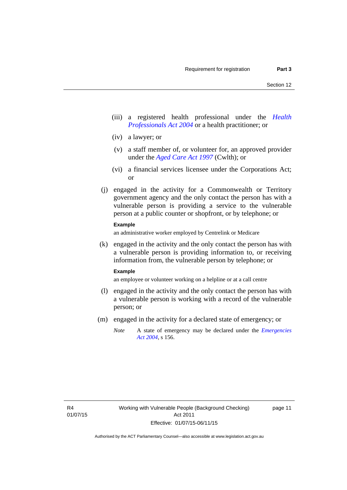- (iii) a registered health professional under the *[Health](http://www.legislation.act.gov.au/a/2004-38)  [Professionals Act 2004](http://www.legislation.act.gov.au/a/2004-38)* or a health practitioner; or
- (iv) a lawyer; or
- (v) a staff member of, or volunteer for, an approved provider under the *[Aged Care Act 1997](http://www.comlaw.gov.au/Series/C2004A05206)* (Cwlth); or
- (vi) a financial services licensee under the Corporations Act; or
- (j) engaged in the activity for a Commonwealth or Territory government agency and the only contact the person has with a vulnerable person is providing a service to the vulnerable person at a public counter or shopfront, or by telephone; or

### **Example**

an administrative worker employed by Centrelink or Medicare

 (k) engaged in the activity and the only contact the person has with a vulnerable person is providing information to, or receiving information from, the vulnerable person by telephone; or

#### **Example**

an employee or volunteer working on a helpline or at a call centre

- (l) engaged in the activity and the only contact the person has with a vulnerable person is working with a record of the vulnerable person; or
- (m) engaged in the activity for a declared state of emergency; or
	- *Note* A state of emergency may be declared under the *[Emergencies](http://www.legislation.act.gov.au/a/2004-28)  [Act 2004](http://www.legislation.act.gov.au/a/2004-28)*, s 156.

page 11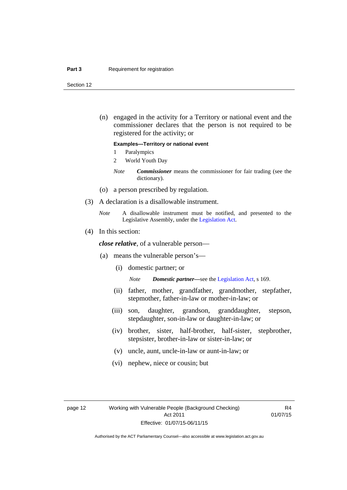#### **Part 3 Requirement for registration**

Section 12

 (n) engaged in the activity for a Territory or national event and the commissioner declares that the person is not required to be registered for the activity; or

#### **Examples—Territory or national event**

- 1 Paralympics
- 2 World Youth Day
- *Note Commissioner* means the commissioner for fair trading (see the dictionary).
- (o) a person prescribed by regulation.
- (3) A declaration is a disallowable instrument.
	- *Note* A disallowable instrument must be notified, and presented to the Legislative Assembly, under the [Legislation Act.](http://www.legislation.act.gov.au/a/2001-14)
- (4) In this section:

*close relative*, of a vulnerable person—

- (a) means the vulnerable person's—
	- (i) domestic partner; or

*Note Domestic partner—*see the [Legislation Act](http://www.legislation.act.gov.au/a/2001-14), s 169.

- (ii) father, mother, grandfather, grandmother, stepfather, stepmother, father-in-law or mother-in-law; or
- (iii) son, daughter, grandson, granddaughter, stepson, stepdaughter, son-in-law or daughter-in-law; or
- (iv) brother, sister, half-brother, half-sister, stepbrother, stepsister, brother-in-law or sister-in-law; or
- (v) uncle, aunt, uncle-in-law or aunt-in-law; or
- (vi) nephew, niece or cousin; but

R4 01/07/15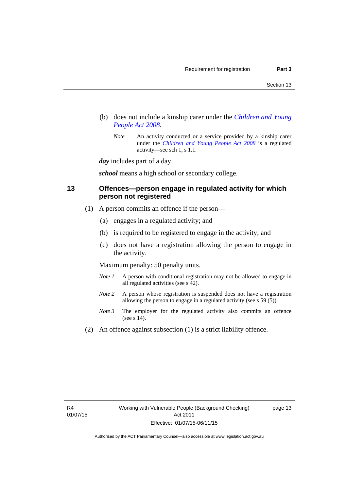- (b) does not include a kinship carer under the *[Children and Young](http://www.legislation.act.gov.au/a/2008-19)  [People Act 2008](http://www.legislation.act.gov.au/a/2008-19)*.
	- *Note* An activity conducted or a service provided by a kinship carer under the *[Children and Young People Act 2008](http://www.legislation.act.gov.au/a/2008-19)* is a regulated activity—see sch 1, s 1.1.

*day* includes part of a day.

*school* means a high school or secondary college.

### <span id="page-20-0"></span>**13 Offences—person engage in regulated activity for which person not registered**

- (1) A person commits an offence if the person—
	- (a) engages in a regulated activity; and
	- (b) is required to be registered to engage in the activity; and
	- (c) does not have a registration allowing the person to engage in the activity.

Maximum penalty: 50 penalty units.

- *Note 1* A person with conditional registration may not be allowed to engage in all regulated activities (see s 42).
- *Note* 2 A person whose registration is suspended does not have a registration allowing the person to engage in a regulated activity (see s 59 (5)).
- *Note 3* The employer for the regulated activity also commits an offence (see s 14).
- (2) An offence against subsection (1) is a strict liability offence.

page 13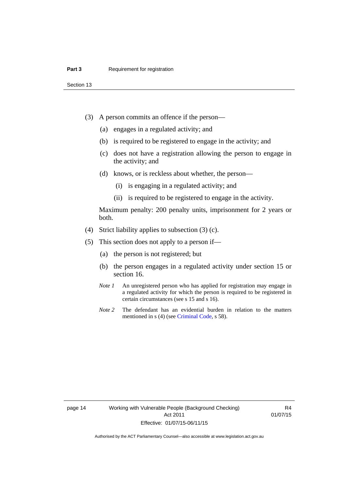Section 13

- (3) A person commits an offence if the person—
	- (a) engages in a regulated activity; and
	- (b) is required to be registered to engage in the activity; and
	- (c) does not have a registration allowing the person to engage in the activity; and
	- (d) knows, or is reckless about whether, the person—
		- (i) is engaging in a regulated activity; and
		- (ii) is required to be registered to engage in the activity.

Maximum penalty: 200 penalty units, imprisonment for 2 years or both.

- (4) Strict liability applies to subsection (3) (c).
- (5) This section does not apply to a person if—
	- (a) the person is not registered; but
	- (b) the person engages in a regulated activity under section 15 or section 16.
	- *Note 1* An unregistered person who has applied for registration may engage in a regulated activity for which the person is required to be registered in certain circumstances (see s 15 and s 16).
	- *Note* 2 The defendant has an evidential burden in relation to the matters mentioned in s (4) (see [Criminal Code](http://www.legislation.act.gov.au/a/2002-51/default.asp), s 58).

page 14 Working with Vulnerable People (Background Checking) Act 2011 Effective: 01/07/15-06/11/15

R4 01/07/15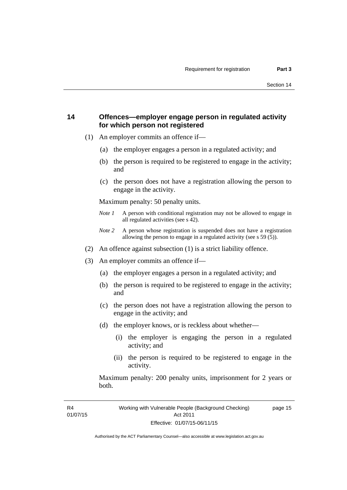### <span id="page-22-0"></span>**14 Offences—employer engage person in regulated activity for which person not registered**

- (1) An employer commits an offence if—
	- (a) the employer engages a person in a regulated activity; and
	- (b) the person is required to be registered to engage in the activity; and
	- (c) the person does not have a registration allowing the person to engage in the activity.

Maximum penalty: 50 penalty units.

- *Note 1* A person with conditional registration may not be allowed to engage in all regulated activities (see s 42).
- *Note 2* A person whose registration is suspended does not have a registration allowing the person to engage in a regulated activity (see s 59 (5)).
- (2) An offence against subsection (1) is a strict liability offence.
- (3) An employer commits an offence if—
	- (a) the employer engages a person in a regulated activity; and
	- (b) the person is required to be registered to engage in the activity; and
	- (c) the person does not have a registration allowing the person to engage in the activity; and
	- (d) the employer knows, or is reckless about whether—
		- (i) the employer is engaging the person in a regulated activity; and
		- (ii) the person is required to be registered to engage in the activity.

Maximum penalty: 200 penalty units, imprisonment for 2 years or both.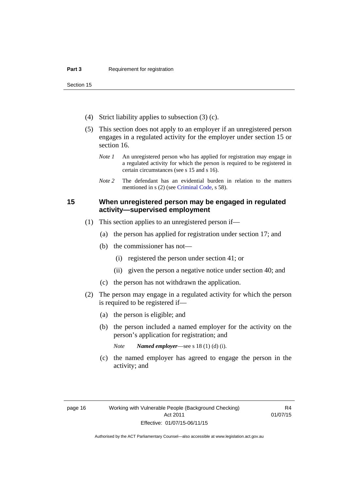Section 15

- (4) Strict liability applies to subsection (3) (c).
- (5) This section does not apply to an employer if an unregistered person engages in a regulated activity for the employer under section 15 or section 16.
	- *Note 1* An unregistered person who has applied for registration may engage in a regulated activity for which the person is required to be registered in certain circumstances (see s 15 and s 16).
	- *Note* 2 The defendant has an evidential burden in relation to the matters mentioned in s (2) (see [Criminal Code](http://www.legislation.act.gov.au/a/2002-51/default.asp), s 58).

### <span id="page-23-0"></span>**15 When unregistered person may be engaged in regulated activity—supervised employment**

- (1) This section applies to an unregistered person if—
	- (a) the person has applied for registration under section 17; and
	- (b) the commissioner has not—
		- (i) registered the person under section 41; or
		- (ii) given the person a negative notice under section 40; and
	- (c) the person has not withdrawn the application.
- (2) The person may engage in a regulated activity for which the person is required to be registered if—
	- (a) the person is eligible; and
	- (b) the person included a named employer for the activity on the person's application for registration; and
		- *Note Named employer*—see s 18 (1) (d) (i).
	- (c) the named employer has agreed to engage the person in the activity; and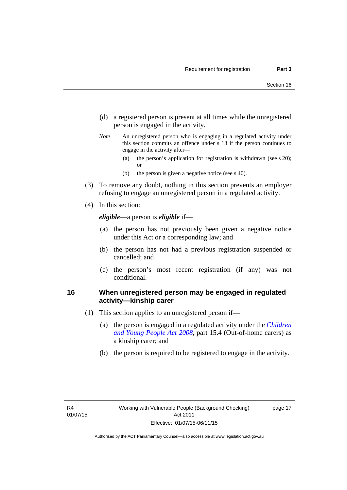- (d) a registered person is present at all times while the unregistered person is engaged in the activity.
- *Note* An unregistered person who is engaging in a regulated activity under this section commits an offence under s 13 if the person continues to engage in the activity after—
	- (a) the person's application for registration is withdrawn (see s 20); or
	- (b) the person is given a negative notice (see s 40).
- (3) To remove any doubt, nothing in this section prevents an employer refusing to engage an unregistered person in a regulated activity.
- (4) In this section:

*eligible*—a person is *eligible* if—

- (a) the person has not previously been given a negative notice under this Act or a corresponding law; and
- (b) the person has not had a previous registration suspended or cancelled; and
- (c) the person's most recent registration (if any) was not conditional.

### <span id="page-24-0"></span>**16 When unregistered person may be engaged in regulated activity—kinship carer**

- (1) This section applies to an unregistered person if—
	- (a) the person is engaged in a regulated activity under the *[Children](http://www.legislation.act.gov.au/a/2008-19)  [and Young People Act 2008](http://www.legislation.act.gov.au/a/2008-19)*, part 15.4 (Out-of-home carers) as a kinship carer; and
	- (b) the person is required to be registered to engage in the activity.

page 17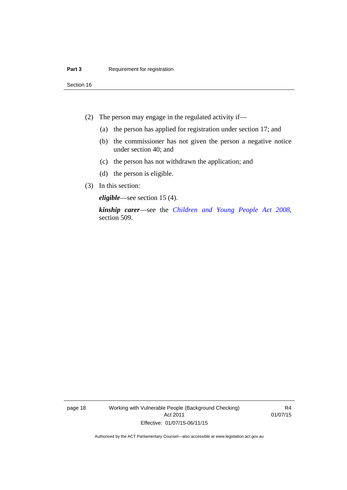Section 16

- (2) The person may engage in the regulated activity if—
	- (a) the person has applied for registration under section 17; and
	- (b) the commissioner has not given the person a negative notice under section 40; and
	- (c) the person has not withdrawn the application; and
	- (d) the person is eligible.
- (3) In this section:

*eligible*—see section 15 (4).

*kinship carer*—see the *[Children and Young People Act 2008](http://www.legislation.act.gov.au/a/2008-19)*, section 509.

page 18 Working with Vulnerable People (Background Checking) Act 2011 Effective: 01/07/15-06/11/15

R4 01/07/15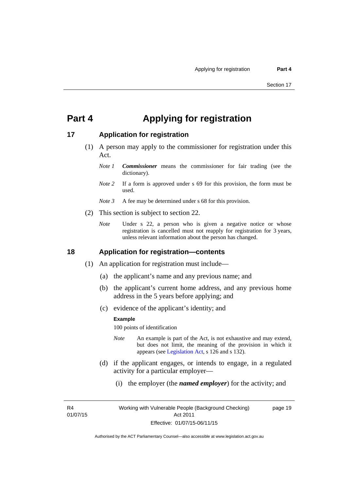## <span id="page-26-0"></span>**Part 4 Applying for registration**

### <span id="page-26-1"></span>**17 Application for registration**

- (1) A person may apply to the commissioner for registration under this Act.
	- *Note 1 Commissioner* means the commissioner for fair trading (see the dictionary).
	- *Note* 2 If a form is approved under s 69 for this provision, the form must be used.
	- *Note 3* A fee may be determined under s 68 for this provision.
- (2) This section is subject to section 22.
	- *Note* Under s 22, a person who is given a negative notice or whose registration is cancelled must not reapply for registration for 3 years, unless relevant information about the person has changed.

### <span id="page-26-2"></span>**18 Application for registration—contents**

- (1) An application for registration must include—
	- (a) the applicant's name and any previous name; and
	- (b) the applicant's current home address, and any previous home address in the 5 years before applying; and
	- (c) evidence of the applicant's identity; and

#### **Example**

100 points of identification

- *Note* An example is part of the Act, is not exhaustive and may extend, but does not limit, the meaning of the provision in which it appears (see [Legislation Act,](http://www.legislation.act.gov.au/a/2001-14) s 126 and s 132).
- (d) if the applicant engages, or intends to engage, in a regulated activity for a particular employer—
	- (i) the employer (the *named employer*) for the activity; and

R4 01/07/15 page 19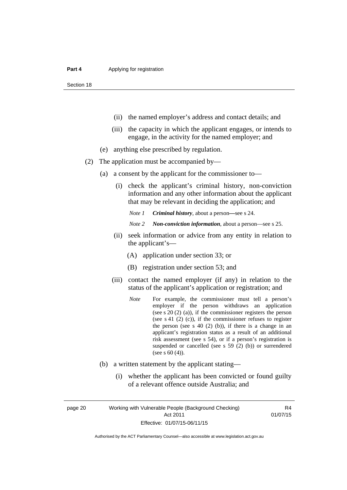Section 18

- (ii) the named employer's address and contact details; and
- (iii) the capacity in which the applicant engages, or intends to engage, in the activity for the named employer; and
- (e) anything else prescribed by regulation.
- (2) The application must be accompanied by—
	- (a) a consent by the applicant for the commissioner to—
		- (i) check the applicant's criminal history, non-conviction information and any other information about the applicant that may be relevant in deciding the application; and

*Note 1 Criminal history*, about a person*—*see s 24.

- *Note 2 Non-conviction information*, about a person—see s 25.
- (ii) seek information or advice from any entity in relation to the applicant's—
	- (A) application under section 33; or
	- (B) registration under section 53; and
- (iii) contact the named employer (if any) in relation to the status of the applicant's application or registration; and
	- *Note* For example, the commissioner must tell a person's employer if the person withdraws an application (see s 20 (2) (a)), if the commissioner registers the person (see s 41 (2) (c)), if the commissioner refuses to register the person (see s  $40$  (2) (b)), if there is a change in an applicant's registration status as a result of an additional risk assessment (see s 54), or if a person's registration is suspended or cancelled (see s 59 (2) (b)) or surrendered (see s 60 (4)).
- (b) a written statement by the applicant stating—
	- (i) whether the applicant has been convicted or found guilty of a relevant offence outside Australia; and

page 20 Working with Vulnerable People (Background Checking) Act 2011 Effective: 01/07/15-06/11/15

R4 01/07/15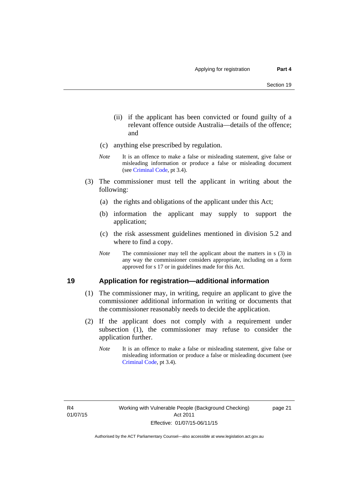- (ii) if the applicant has been convicted or found guilty of a relevant offence outside Australia—details of the offence; and
- (c) anything else prescribed by regulation.
- *Note* It is an offence to make a false or misleading statement, give false or misleading information or produce a false or misleading document (see [Criminal Code,](http://www.legislation.act.gov.au/a/2002-51/default.asp) pt 3.4).
- (3) The commissioner must tell the applicant in writing about the following:
	- (a) the rights and obligations of the applicant under this Act;
	- (b) information the applicant may supply to support the application;
	- (c) the risk assessment guidelines mentioned in division 5.2 and where to find a copy.
	- *Note* The commissioner may tell the applicant about the matters in s (3) in any way the commissioner considers appropriate, including on a form approved for s 17 or in guidelines made for this Act.

### <span id="page-28-0"></span>**19 Application for registration—additional information**

- (1) The commissioner may, in writing, require an applicant to give the commissioner additional information in writing or documents that the commissioner reasonably needs to decide the application.
- (2) If the applicant does not comply with a requirement under subsection (1), the commissioner may refuse to consider the application further.
	- *Note* It is an offence to make a false or misleading statement, give false or misleading information or produce a false or misleading document (see [Criminal Code](http://www.legislation.act.gov.au/a/2002-51/default.asp), pt 3.4).

page 21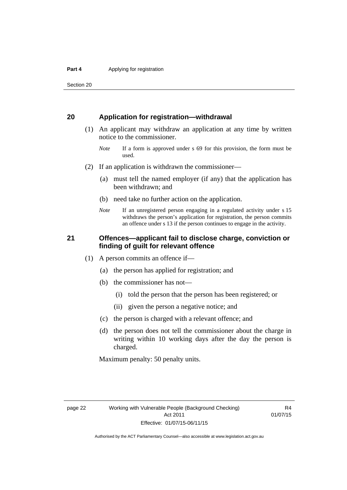Section 20

### <span id="page-29-0"></span>**20 Application for registration—withdrawal**

- (1) An applicant may withdraw an application at any time by written notice to the commissioner.
	- *Note* If a form is approved under s 69 for this provision, the form must be used.
- (2) If an application is withdrawn the commissioner—
	- (a) must tell the named employer (if any) that the application has been withdrawn; and
	- (b) need take no further action on the application.
	- *Note* If an unregistered person engaging in a regulated activity under s 15 withdraws the person's application for registration, the person commits an offence under s 13 if the person continues to engage in the activity.

### <span id="page-29-1"></span>**21 Offences—applicant fail to disclose charge, conviction or finding of guilt for relevant offence**

- (1) A person commits an offence if—
	- (a) the person has applied for registration; and
	- (b) the commissioner has not—
		- (i) told the person that the person has been registered; or
		- (ii) given the person a negative notice; and
	- (c) the person is charged with a relevant offence; and
	- (d) the person does not tell the commissioner about the charge in writing within 10 working days after the day the person is charged.

Maximum penalty: 50 penalty units.

R4 01/07/15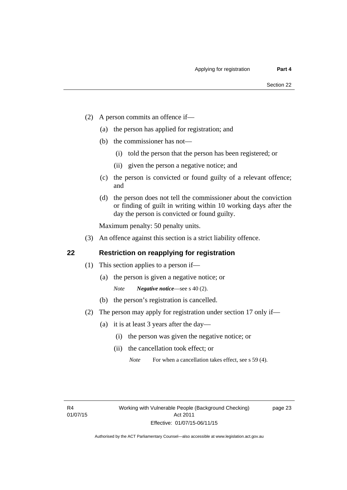- (2) A person commits an offence if—
	- (a) the person has applied for registration; and
	- (b) the commissioner has not—
		- (i) told the person that the person has been registered; or
		- (ii) given the person a negative notice; and
	- (c) the person is convicted or found guilty of a relevant offence; and
	- (d) the person does not tell the commissioner about the conviction or finding of guilt in writing within 10 working days after the day the person is convicted or found guilty.

Maximum penalty: 50 penalty units.

(3) An offence against this section is a strict liability offence.

### <span id="page-30-0"></span>**22 Restriction on reapplying for registration**

- (1) This section applies to a person if—
	- (a) the person is given a negative notice; or
		- *Note Negative notice*—see s 40 (2).
	- (b) the person's registration is cancelled.
- (2) The person may apply for registration under section 17 only if—
	- (a) it is at least 3 years after the day—
		- (i) the person was given the negative notice; or
		- (ii) the cancellation took effect; or

page 23

*Note* For when a cancellation takes effect, see s 59 (4).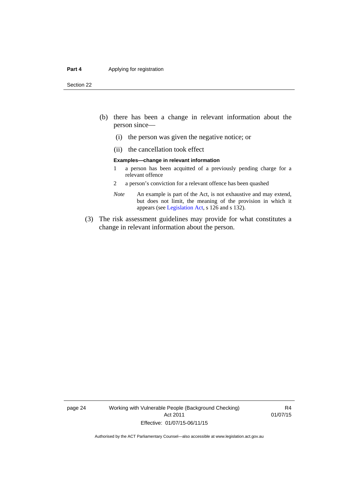#### **Part 4 Applying for registration**

Section 22

- (b) there has been a change in relevant information about the person since—
	- (i) the person was given the negative notice; or
	- (ii) the cancellation took effect

#### **Examples—change in relevant information**

- 1 a person has been acquitted of a previously pending charge for a relevant offence
- 2 a person's conviction for a relevant offence has been quashed
- *Note* An example is part of the Act, is not exhaustive and may extend, but does not limit, the meaning of the provision in which it appears (see [Legislation Act,](http://www.legislation.act.gov.au/a/2001-14) s 126 and s 132).
- (3) The risk assessment guidelines may provide for what constitutes a change in relevant information about the person.

page 24 Working with Vulnerable People (Background Checking) Act 2011 Effective: 01/07/15-06/11/15

R4 01/07/15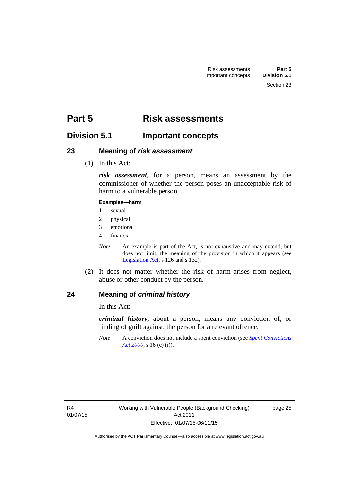# <span id="page-32-0"></span>**Part 5 Risk assessments**

### <span id="page-32-1"></span>**Division 5.1 Important concepts**

### <span id="page-32-2"></span>**23 Meaning of** *risk assessment*

(1) In this Act:

*risk assessment*, for a person, means an assessment by the commissioner of whether the person poses an unacceptable risk of harm to a vulnerable person.

### **Examples—harm**

- 1 sexual
- 2 physical
- 3 emotional
- 4 financial

*Note* An example is part of the Act, is not exhaustive and may extend, but does not limit, the meaning of the provision in which it appears (see [Legislation Act,](http://www.legislation.act.gov.au/a/2001-14) s 126 and s 132).

 (2) It does not matter whether the risk of harm arises from neglect, abuse or other conduct by the person.

### <span id="page-32-3"></span>**24 Meaning of** *criminal history*

In this Act:

*criminal history*, about a person, means any conviction of, or finding of guilt against, the person for a relevant offence.

*Note* A conviction does not include a spent conviction (see *[Spent Convictions](http://www.legislation.act.gov.au/a/2000-48)  [Act 2000](http://www.legislation.act.gov.au/a/2000-48)*, s 16 (c) (i)).

page 25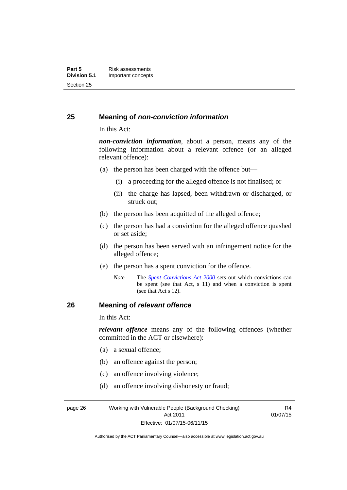### <span id="page-33-0"></span>**25 Meaning of** *non-conviction information*

In this Act:

*non-conviction information*, about a person, means any of the following information about a relevant offence (or an alleged relevant offence):

- (a) the person has been charged with the offence but—
	- (i) a proceeding for the alleged offence is not finalised; or
	- (ii) the charge has lapsed, been withdrawn or discharged, or struck out;
- (b) the person has been acquitted of the alleged offence;
- (c) the person has had a conviction for the alleged offence quashed or set aside;
- (d) the person has been served with an infringement notice for the alleged offence;
- (e) the person has a spent conviction for the offence.
	- *Note* The *[Spent Convictions Act 2000](http://www.legislation.act.gov.au/a/2000-48)* sets out which convictions can be spent (see that Act, s 11) and when a conviction is spent (see that Act s 12).

### <span id="page-33-1"></span>**26 Meaning of** *relevant offence*

In this Act:

*relevant offence* means any of the following offences (whether committed in the ACT or elsewhere):

- (a) a sexual offence;
- (b) an offence against the person;
- (c) an offence involving violence;
- (d) an offence involving dishonesty or fraud;

page 26 Working with Vulnerable People (Background Checking) Act 2011 Effective: 01/07/15-06/11/15

R4 01/07/15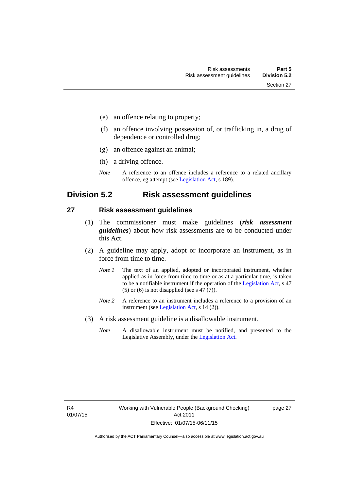- (e) an offence relating to property;
- (f) an offence involving possession of, or trafficking in, a drug of dependence or controlled drug;
- (g) an offence against an animal;
- (h) a driving offence.
- *Note* A reference to an offence includes a reference to a related ancillary offence, eg attempt (see [Legislation Act,](http://www.legislation.act.gov.au/a/2001-14) s 189).

### <span id="page-34-0"></span>**Division 5.2 Risk assessment guidelines**

#### <span id="page-34-1"></span>**27 Risk assessment guidelines**

- (1) The commissioner must make guidelines (*risk assessment guidelines*) about how risk assessments are to be conducted under this Act.
- (2) A guideline may apply, adopt or incorporate an instrument, as in force from time to time.
	- *Note 1* The text of an applied, adopted or incorporated instrument, whether applied as in force from time to time or as at a particular time, is taken to be a notifiable instrument if the operation of the [Legislation Act,](http://www.legislation.act.gov.au/a/2001-14) s 47 (5) or (6) is not disapplied (see s 47 (7)).
	- *Note 2* A reference to an instrument includes a reference to a provision of an instrument (see [Legislation Act,](http://www.legislation.act.gov.au/a/2001-14) s 14 (2)).
- (3) A risk assessment guideline is a disallowable instrument.
	- *Note* A disallowable instrument must be notified, and presented to the Legislative Assembly, under the [Legislation Act.](http://www.legislation.act.gov.au/a/2001-14)

page 27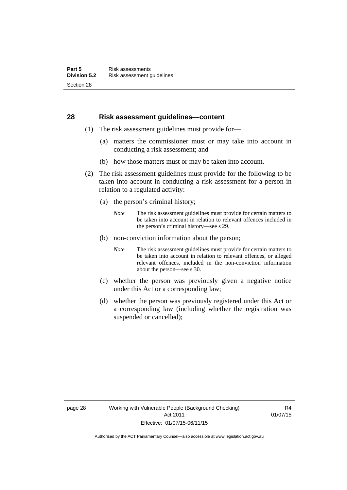### <span id="page-35-0"></span>**28 Risk assessment guidelines—content**

- (1) The risk assessment guidelines must provide for—
	- (a) matters the commissioner must or may take into account in conducting a risk assessment; and
	- (b) how those matters must or may be taken into account.
- (2) The risk assessment guidelines must provide for the following to be taken into account in conducting a risk assessment for a person in relation to a regulated activity:
	- (a) the person's criminal history;
		- *Note* The risk assessment guidelines must provide for certain matters to be taken into account in relation to relevant offences included in the person's criminal history—see s 29.
	- (b) non-conviction information about the person;
		- *Note* The risk assessment guidelines must provide for certain matters to be taken into account in relation to relevant offences, or alleged relevant offences, included in the non-conviction information about the person—see s 30.
	- (c) whether the person was previously given a negative notice under this Act or a corresponding law;
	- (d) whether the person was previously registered under this Act or a corresponding law (including whether the registration was suspended or cancelled);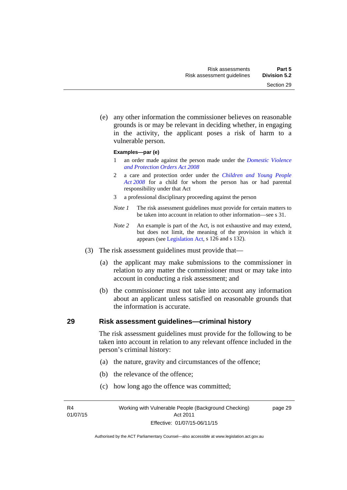Section 29

 (e) any other information the commissioner believes on reasonable grounds is or may be relevant in deciding whether, in engaging in the activity, the applicant poses a risk of harm to a

#### **Examples—par (e)**

vulnerable person.

- 1 an order made against the person made under the *[Domestic Violence](http://www.legislation.act.gov.au/a/2008-46)  [and Protection Orders Act 2008](http://www.legislation.act.gov.au/a/2008-46)*
- 2 a care and protection order under the *[Children and Young People](http://www.legislation.act.gov.au/a/2008-19)  [Act 2008](http://www.legislation.act.gov.au/a/2008-19)* for a child for whom the person has or had parental responsibility under that Act
- 3 a professional disciplinary proceeding against the person
- *Note 1* The risk assessment guidelines must provide for certain matters to be taken into account in relation to other information—see s 31.
- *Note 2* An example is part of the Act, is not exhaustive and may extend, but does not limit, the meaning of the provision in which it appears (see [Legislation Act,](http://www.legislation.act.gov.au/a/2001-14) s 126 and s 132).
- (3) The risk assessment guidelines must provide that—
	- (a) the applicant may make submissions to the commissioner in relation to any matter the commissioner must or may take into account in conducting a risk assessment; and
	- (b) the commissioner must not take into account any information about an applicant unless satisfied on reasonable grounds that the information is accurate.

## **29 Risk assessment guidelines—criminal history**

The risk assessment guidelines must provide for the following to be taken into account in relation to any relevant offence included in the person's criminal history:

- (a) the nature, gravity and circumstances of the offence;
- (b) the relevance of the offence;
- (c) how long ago the offence was committed;

R4 01/07/15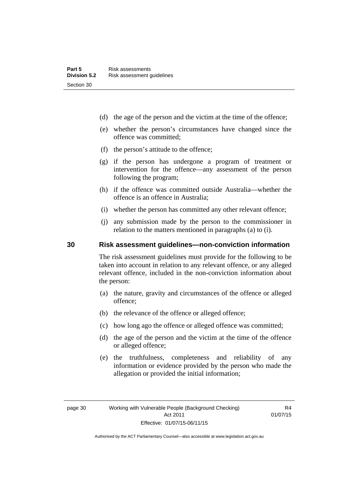- (d) the age of the person and the victim at the time of the offence;
- (e) whether the person's circumstances have changed since the offence was committed;
- (f) the person's attitude to the offence;
- (g) if the person has undergone a program of treatment or intervention for the offence—any assessment of the person following the program;
- (h) if the offence was committed outside Australia—whether the offence is an offence in Australia;
- (i) whether the person has committed any other relevant offence;
- (j) any submission made by the person to the commissioner in relation to the matters mentioned in paragraphs (a) to (i).

## **30 Risk assessment guidelines—non-conviction information**

The risk assessment guidelines must provide for the following to be taken into account in relation to any relevant offence, or any alleged relevant offence, included in the non-conviction information about the person:

- (a) the nature, gravity and circumstances of the offence or alleged offence;
- (b) the relevance of the offence or alleged offence;
- (c) how long ago the offence or alleged offence was committed;
- (d) the age of the person and the victim at the time of the offence or alleged offence;
- (e) the truthfulness, completeness and reliability of any information or evidence provided by the person who made the allegation or provided the initial information;

R4 01/07/15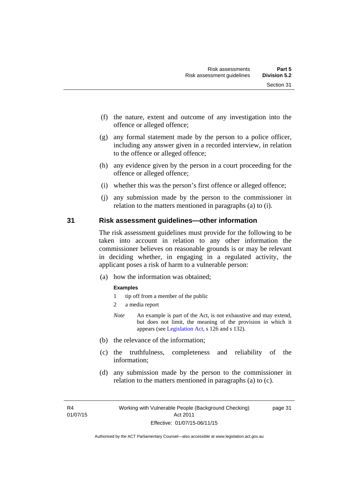- (f) the nature, extent and outcome of any investigation into the offence or alleged offence;
- (g) any formal statement made by the person to a police officer, including any answer given in a recorded interview, in relation to the offence or alleged offence;
- (h) any evidence given by the person in a court proceeding for the offence or alleged offence;
- (i) whether this was the person's first offence or alleged offence;
- (j) any submission made by the person to the commissioner in relation to the matters mentioned in paragraphs (a) to (i).

### **31 Risk assessment guidelines—other information**

The risk assessment guidelines must provide for the following to be taken into account in relation to any other information the commissioner believes on reasonable grounds is or may be relevant in deciding whether, in engaging in a regulated activity, the applicant poses a risk of harm to a vulnerable person:

(a) how the information was obtained;

#### **Examples**

- 1 tip off from a member of the public
- 2 a media report
- *Note* An example is part of the Act, is not exhaustive and may extend, but does not limit, the meaning of the provision in which it appears (see [Legislation Act,](http://www.legislation.act.gov.au/a/2001-14) s 126 and s 132).
- (b) the relevance of the information;
- (c) the truthfulness, completeness and reliability of the information;
- (d) any submission made by the person to the commissioner in relation to the matters mentioned in paragraphs (a) to (c).

R4 01/07/15 page 31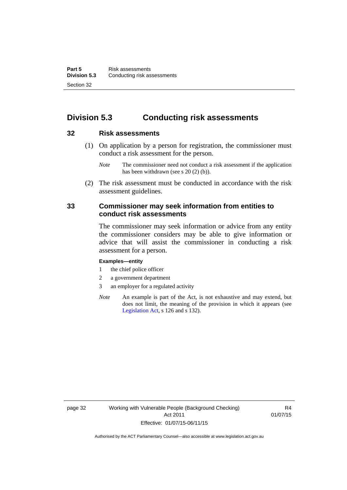# **Division 5.3 Conducting risk assessments**

## **32 Risk assessments**

 (1) On application by a person for registration, the commissioner must conduct a risk assessment for the person.

 (2) The risk assessment must be conducted in accordance with the risk assessment guidelines.

## **33 Commissioner may seek information from entities to conduct risk assessments**

The commissioner may seek information or advice from any entity the commissioner considers may be able to give information or advice that will assist the commissioner in conducting a risk assessment for a person.

#### **Examples—entity**

- 1 the chief police officer
- 2 a government department
- 3 an employer for a regulated activity
- *Note* An example is part of the Act, is not exhaustive and may extend, but does not limit, the meaning of the provision in which it appears (see [Legislation Act,](http://www.legislation.act.gov.au/a/2001-14) s 126 and s 132).

*Note* The commissioner need not conduct a risk assessment if the application has been withdrawn (see s 20 (2) (b)).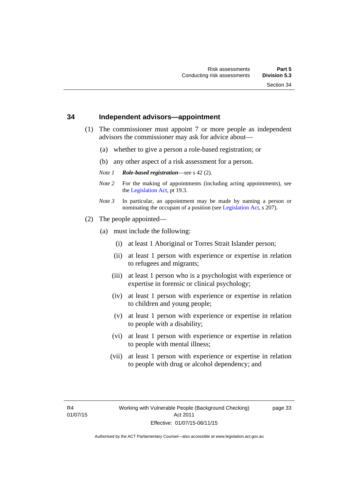### **34 Independent advisors—appointment**

- (1) The commissioner must appoint 7 or more people as independent advisors the commissioner may ask for advice about—
	- (a) whether to give a person a role-based registration; or
	- (b) any other aspect of a risk assessment for a person.
	- *Note 1 Role-based registration*—see s 42 (2).
	- *Note 2* For the making of appointments (including acting appointments), see the [Legislation Act,](http://www.legislation.act.gov.au/a/2001-14) pt 19.3.
	- *Note 3* In particular, an appointment may be made by naming a person or nominating the occupant of a position (see [Legislation Act](http://www.legislation.act.gov.au/a/2001-14), s 207).
- (2) The people appointed—
	- (a) must include the following:
		- (i) at least 1 Aboriginal or Torres Strait Islander person;
		- (ii) at least 1 person with experience or expertise in relation to refugees and migrants;
		- (iii) at least 1 person who is a psychologist with experience or expertise in forensic or clinical psychology;
		- (iv) at least 1 person with experience or expertise in relation to children and young people;
		- (v) at least 1 person with experience or expertise in relation to people with a disability;
		- (vi) at least 1 person with experience or expertise in relation to people with mental illness;
		- (vii) at least 1 person with experience or expertise in relation to people with drug or alcohol dependency; and

page 33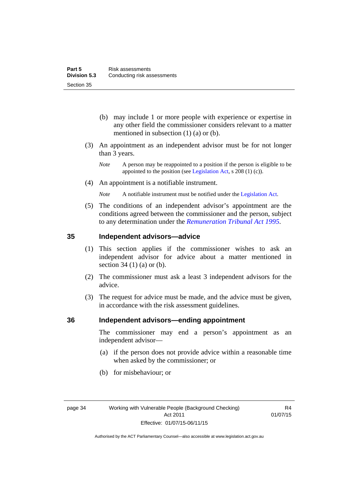- (b) may include 1 or more people with experience or expertise in any other field the commissioner considers relevant to a matter mentioned in subsection (1) (a) or (b).
- (3) An appointment as an independent advisor must be for not longer than 3 years.
	- *Note* A person may be reappointed to a position if the person is eligible to be appointed to the position (see [Legislation Act](http://www.legislation.act.gov.au/a/2001-14), s 208 (1) (c)).
- (4) An appointment is a notifiable instrument.
	- *Note* A notifiable instrument must be notified under the [Legislation Act](http://www.legislation.act.gov.au/a/2001-14).
- (5) The conditions of an independent advisor's appointment are the conditions agreed between the commissioner and the person, subject to any determination under the *[Remuneration Tribunal Act 1995](http://www.legislation.act.gov.au/a/1995-55)*.

## **35 Independent advisors—advice**

- (1) This section applies if the commissioner wishes to ask an independent advisor for advice about a matter mentioned in section 34 (1) (a) or (b).
- (2) The commissioner must ask a least 3 independent advisors for the advice.
- (3) The request for advice must be made, and the advice must be given, in accordance with the risk assessment guidelines.

### **36 Independent advisors—ending appointment**

The commissioner may end a person's appointment as an independent advisor—

- (a) if the person does not provide advice within a reasonable time when asked by the commissioner; or
- (b) for misbehaviour; or

R4 01/07/15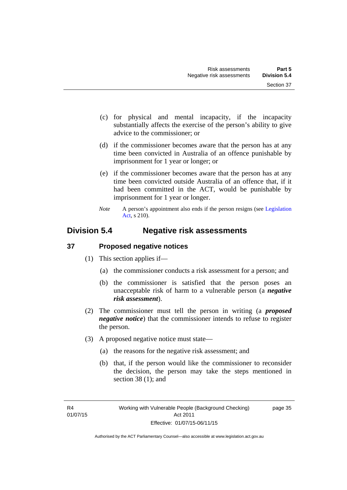- (c) for physical and mental incapacity, if the incapacity substantially affects the exercise of the person's ability to give advice to the commissioner; or
- (d) if the commissioner becomes aware that the person has at any time been convicted in Australia of an offence punishable by imprisonment for 1 year or longer; or
- (e) if the commissioner becomes aware that the person has at any time been convicted outside Australia of an offence that, if it had been committed in the ACT, would be punishable by imprisonment for 1 year or longer.
- *Note* A person's appointment also ends if the person resigns (see Legislation [Act](http://www.legislation.act.gov.au/a/2001-14), s 210).

# **Division 5.4 Negative risk assessments**

# **37 Proposed negative notices**

- (1) This section applies if—
	- (a) the commissioner conducts a risk assessment for a person; and
	- (b) the commissioner is satisfied that the person poses an unacceptable risk of harm to a vulnerable person (a *negative risk assessment*).
- (2) The commissioner must tell the person in writing (a *proposed negative notice*) that the commissioner intends to refuse to register the person.
- (3) A proposed negative notice must state—
	- (a) the reasons for the negative risk assessment; and
	- (b) that, if the person would like the commissioner to reconsider the decision, the person may take the steps mentioned in section 38 (1); and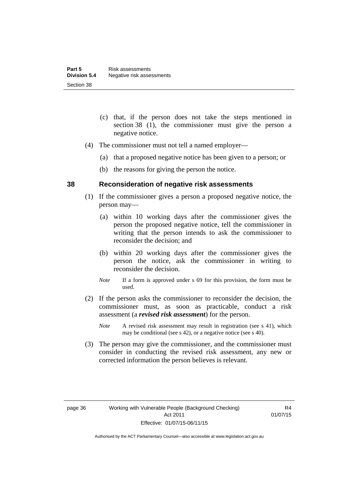- (c) that, if the person does not take the steps mentioned in section 38 (1), the commissioner must give the person a negative notice.
- (4) The commissioner must not tell a named employer—
	- (a) that a proposed negative notice has been given to a person; or
	- (b) the reasons for giving the person the notice.

### **38 Reconsideration of negative risk assessments**

- (1) If the commissioner gives a person a proposed negative notice, the person may—
	- (a) within 10 working days after the commissioner gives the person the proposed negative notice, tell the commissioner in writing that the person intends to ask the commissioner to reconsider the decision; and
	- (b) within 20 working days after the commissioner gives the person the notice, ask the commissioner in writing to reconsider the decision.
	- *Note* If a form is approved under s 69 for this provision, the form must be used.
- (2) If the person asks the commissioner to reconsider the decision, the commissioner must, as soon as practicable, conduct a risk assessment (a *revised risk assessment*) for the person.
	- *Note* A revised risk assessment may result in registration (see s 41), which may be conditional (see s 42), or a negative notice (see s 40).
- (3) The person may give the commissioner, and the commissioner must consider in conducting the revised risk assessment, any new or corrected information the person believes is relevant.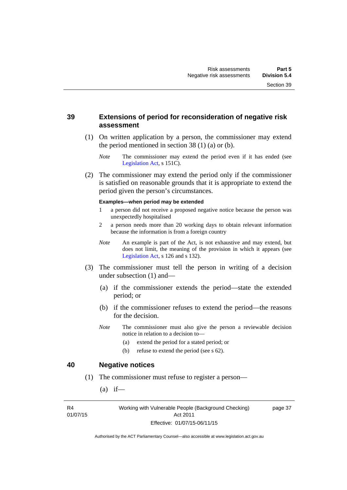## **39 Extensions of period for reconsideration of negative risk assessment**

- (1) On written application by a person, the commissioner may extend the period mentioned in section  $38(1)(a)$  or (b).
	- *Note* The commissioner may extend the period even if it has ended (see [Legislation Act,](http://www.legislation.act.gov.au/a/2001-14) s 151C).
- (2) The commissioner may extend the period only if the commissioner is satisfied on reasonable grounds that it is appropriate to extend the period given the person's circumstances.

#### **Examples—when period may be extended**

- 1 a person did not receive a proposed negative notice because the person was unexpectedly hospitalised
- 2 a person needs more than 20 working days to obtain relevant information because the information is from a foreign country
- *Note* An example is part of the Act, is not exhaustive and may extend, but does not limit, the meaning of the provision in which it appears (see [Legislation Act,](http://www.legislation.act.gov.au/a/2001-14) s 126 and s 132).
- (3) The commissioner must tell the person in writing of a decision under subsection (1) and—
	- (a) if the commissioner extends the period—state the extended period; or
	- (b) if the commissioner refuses to extend the period—the reasons for the decision.
	- *Note* The commissioner must also give the person a reviewable decision notice in relation to a decision to—
		- (a) extend the period for a stated period; or
		- (b) refuse to extend the period (see s 62).

### **40 Negative notices**

- (1) The commissioner must refuse to register a person—
	- $(a)$  if—

R4 01/07/15 Working with Vulnerable People (Background Checking) Act 2011 Effective: 01/07/15-06/11/15

page 37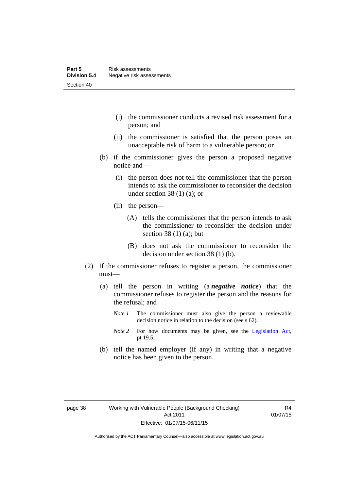- (i) the commissioner conducts a revised risk assessment for a person; and
- (ii) the commissioner is satisfied that the person poses an unacceptable risk of harm to a vulnerable person; or
- (b) if the commissioner gives the person a proposed negative notice and—
	- (i) the person does not tell the commissioner that the person intends to ask the commissioner to reconsider the decision under section 38 $(1)$  $(a)$ ; or
	- (ii) the person—
		- (A) tells the commissioner that the person intends to ask the commissioner to reconsider the decision under section 38 $(1)$  $(a)$ ; but
		- (B) does not ask the commissioner to reconsider the decision under section 38 (1) (b).
- (2) If the commissioner refuses to register a person, the commissioner must—
	- (a) tell the person in writing (a *negative notice*) that the commissioner refuses to register the person and the reasons for the refusal; and
		- *Note 1* The commissioner must also give the person a reviewable decision notice in relation to the decision (see s 62).
		- *Note* 2 For how documents may be given, see the [Legislation Act,](http://www.legislation.act.gov.au/a/2001-14) pt 19.5.
	- (b) tell the named employer (if any) in writing that a negative notice has been given to the person.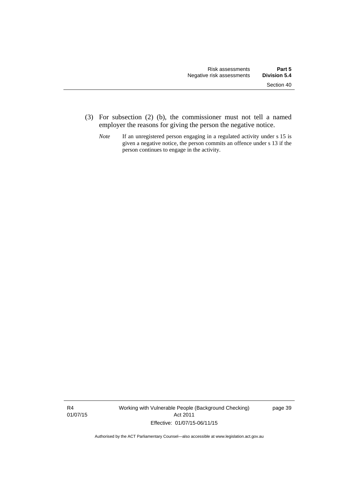- (3) For subsection (2) (b), the commissioner must not tell a named employer the reasons for giving the person the negative notice.
	- *Note* If an unregistered person engaging in a regulated activity under s 15 is given a negative notice, the person commits an offence under s 13 if the person continues to engage in the activity.

R4 01/07/15 Working with Vulnerable People (Background Checking) Act 2011 Effective: 01/07/15-06/11/15

page 39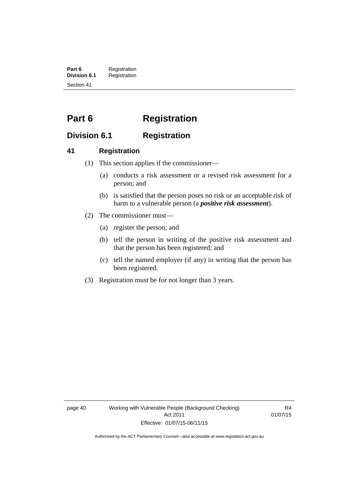**Part 6** Registration<br>**Division 6.1** Registration **Division 6.1** Registration Section 41

# **Part 6 Registration**

# **Division 6.1 Registration**

# **41 Registration**

- (1) This section applies if the commissioner—
	- (a) conducts a risk assessment or a revised risk assessment for a person; and
	- (b) is satisfied that the person poses no risk or an acceptable risk of harm to a vulnerable person (a *positive risk assessment*).
- (2) The commissioner must—
	- (a) register the person; and
	- (b) tell the person in writing of the positive risk assessment and that the person has been registered; and
	- (c) tell the named employer (if any) in writing that the person has been registered.
- (3) Registration must be for not longer than 3 years.

page 40 Working with Vulnerable People (Background Checking) Act 2011 Effective: 01/07/15-06/11/15

R4 01/07/15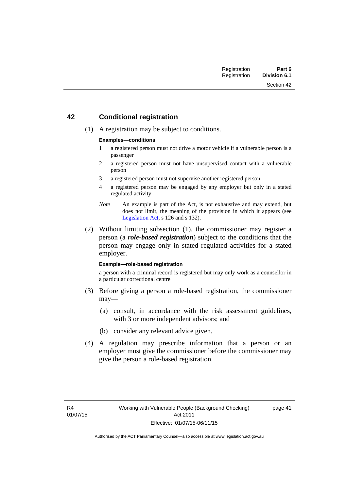# **42 Conditional registration**

(1) A registration may be subject to conditions.

### **Examples—conditions**

- 1 a registered person must not drive a motor vehicle if a vulnerable person is a passenger
- 2 a registered person must not have unsupervised contact with a vulnerable person
- 3 a registered person must not supervise another registered person
- 4 a registered person may be engaged by any employer but only in a stated regulated activity
- *Note* An example is part of the Act, is not exhaustive and may extend, but does not limit, the meaning of the provision in which it appears (see [Legislation Act,](http://www.legislation.act.gov.au/a/2001-14) s 126 and s 132).
- (2) Without limiting subsection (1), the commissioner may register a person (a *role-based registration*) subject to the conditions that the person may engage only in stated regulated activities for a stated employer.

#### **Example—role-based registration**

a person with a criminal record is registered but may only work as a counsellor in a particular correctional centre

- (3) Before giving a person a role-based registration, the commissioner may—
	- (a) consult, in accordance with the risk assessment guidelines, with 3 or more independent advisors; and
	- (b) consider any relevant advice given.
- (4) A regulation may prescribe information that a person or an employer must give the commissioner before the commissioner may give the person a role-based registration.

page 41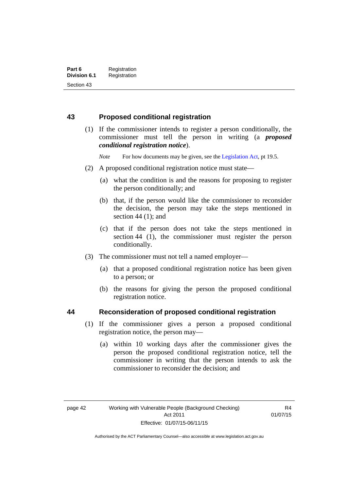# **43 Proposed conditional registration**

 (1) If the commissioner intends to register a person conditionally, the commissioner must tell the person in writing (a *proposed conditional registration notice*).

*Note* For how documents may be given, see the [Legislation Act,](http://www.legislation.act.gov.au/a/2001-14) pt 19.5.

- (2) A proposed conditional registration notice must state—
	- (a) what the condition is and the reasons for proposing to register the person conditionally; and
	- (b) that, if the person would like the commissioner to reconsider the decision, the person may take the steps mentioned in section  $44$  (1); and
	- (c) that if the person does not take the steps mentioned in section 44 (1), the commissioner must register the person conditionally.
- (3) The commissioner must not tell a named employer—
	- (a) that a proposed conditional registration notice has been given to a person; or
	- (b) the reasons for giving the person the proposed conditional registration notice.

## **44 Reconsideration of proposed conditional registration**

- (1) If the commissioner gives a person a proposed conditional registration notice, the person may—
	- (a) within 10 working days after the commissioner gives the person the proposed conditional registration notice, tell the commissioner in writing that the person intends to ask the commissioner to reconsider the decision; and

Authorised by the ACT Parliamentary Counsel—also accessible at www.legislation.act.gov.au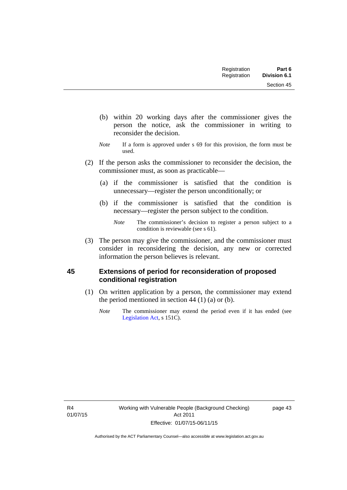Section 45

- (b) within 20 working days after the commissioner gives the person the notice, ask the commissioner in writing to reconsider the decision.
- *Note* If a form is approved under s 69 for this provision, the form must be used.
- (2) If the person asks the commissioner to reconsider the decision, the commissioner must, as soon as practicable—
	- (a) if the commissioner is satisfied that the condition is unnecessary—register the person unconditionally; or
	- (b) if the commissioner is satisfied that the condition is necessary—register the person subject to the condition.

 (3) The person may give the commissioner, and the commissioner must consider in reconsidering the decision, any new or corrected information the person believes is relevant.

# **45 Extensions of period for reconsideration of proposed conditional registration**

- (1) On written application by a person, the commissioner may extend the period mentioned in section  $44$  (1) (a) or (b).
	- *Note* The commissioner may extend the period even if it has ended (see [Legislation Act,](http://www.legislation.act.gov.au/a/2001-14) s 151C).

page 43

*Note* The commissioner's decision to register a person subject to a condition is reviewable (see s 61).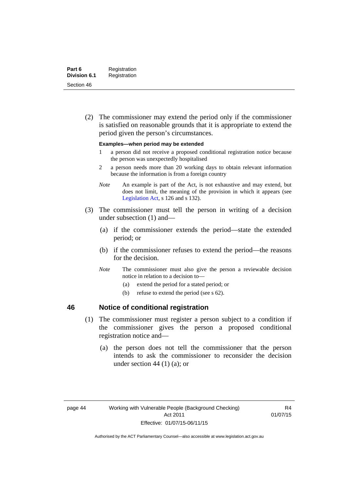(2) The commissioner may extend the period only if the commissioner is satisfied on reasonable grounds that it is appropriate to extend the period given the person's circumstances.

#### **Examples—when period may be extended**

- 1 a person did not receive a proposed conditional registration notice because the person was unexpectedly hospitalised
- 2 a person needs more than 20 working days to obtain relevant information because the information is from a foreign country
- *Note* An example is part of the Act, is not exhaustive and may extend, but does not limit, the meaning of the provision in which it appears (see [Legislation Act,](http://www.legislation.act.gov.au/a/2001-14) s 126 and s 132).
- (3) The commissioner must tell the person in writing of a decision under subsection (1) and—
	- (a) if the commissioner extends the period—state the extended period; or
	- (b) if the commissioner refuses to extend the period—the reasons for the decision.
	- *Note* The commissioner must also give the person a reviewable decision notice in relation to a decision to—
		- (a) extend the period for a stated period; or
		- (b) refuse to extend the period (see s 62).

# **46 Notice of conditional registration**

- (1) The commissioner must register a person subject to a condition if the commissioner gives the person a proposed conditional registration notice and—
	- (a) the person does not tell the commissioner that the person intends to ask the commissioner to reconsider the decision under section 44  $(1)$   $(a)$ ; or

R4 01/07/15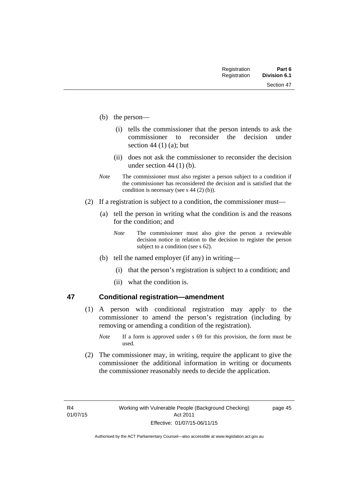- (b) the person—
	- (i) tells the commissioner that the person intends to ask the commissioner to reconsider the decision under section 44 $(1)$  $(a)$ ; but
	- (ii) does not ask the commissioner to reconsider the decision under section 44 (1) (b).
- *Note* The commissioner must also register a person subject to a condition if the commissioner has reconsidered the decision and is satisfied that the condition is necessary (see s 44 (2) (b)).
- (2) If a registration is subject to a condition, the commissioner must—
	- (a) tell the person in writing what the condition is and the reasons for the condition; and
		- *Note* The commissioner must also give the person a reviewable decision notice in relation to the decision to register the person subject to a condition (see s 62).
	- (b) tell the named employer (if any) in writing—
		- (i) that the person's registration is subject to a condition; and
		- (ii) what the condition is.

## **47 Conditional registration—amendment**

- (1) A person with conditional registration may apply to the commissioner to amend the person's registration (including by removing or amending a condition of the registration).
	- *Note* If a form is approved under s 69 for this provision, the form must be used.
- (2) The commissioner may, in writing, require the applicant to give the commissioner the additional information in writing or documents the commissioner reasonably needs to decide the application.

page 45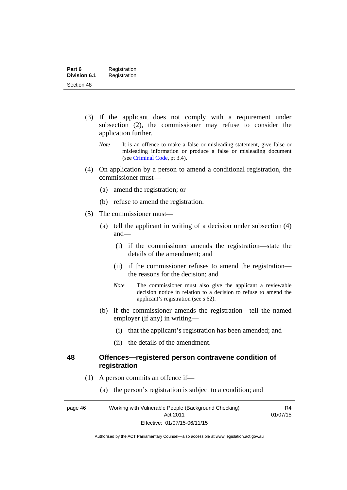- (3) If the applicant does not comply with a requirement under subsection (2), the commissioner may refuse to consider the application further.
	- *Note* It is an offence to make a false or misleading statement, give false or misleading information or produce a false or misleading document (see [Criminal Code,](http://www.legislation.act.gov.au/a/2002-51/default.asp) pt 3.4).
- (4) On application by a person to amend a conditional registration, the commissioner must—
	- (a) amend the registration; or
	- (b) refuse to amend the registration.
- (5) The commissioner must—
	- (a) tell the applicant in writing of a decision under subsection (4) and—
		- (i) if the commissioner amends the registration—state the details of the amendment; and
		- (ii) if the commissioner refuses to amend the registration the reasons for the decision; and
		- *Note* The commissioner must also give the applicant a reviewable decision notice in relation to a decision to refuse to amend the applicant's registration (see s 62).
	- (b) if the commissioner amends the registration—tell the named employer (if any) in writing—
		- (i) that the applicant's registration has been amended; and
		- (ii) the details of the amendment.

### **48 Offences—registered person contravene condition of registration**

- (1) A person commits an offence if—
	- (a) the person's registration is subject to a condition; and

page 46 Working with Vulnerable People (Background Checking) Act 2011 Effective: 01/07/15-06/11/15

R4 01/07/15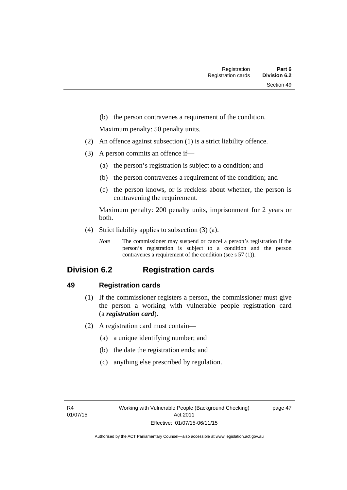(b) the person contravenes a requirement of the condition.

Maximum penalty: 50 penalty units.

- (2) An offence against subsection (1) is a strict liability offence.
- (3) A person commits an offence if—
	- (a) the person's registration is subject to a condition; and
	- (b) the person contravenes a requirement of the condition; and
	- (c) the person knows, or is reckless about whether, the person is contravening the requirement.

Maximum penalty: 200 penalty units, imprisonment for 2 years or both.

- (4) Strict liability applies to subsection (3) (a).
	- *Note* The commissioner may suspend or cancel a person's registration if the person's registration is subject to a condition and the person contravenes a requirement of the condition (see s 57 (1)).

# **Division 6.2 Registration cards**

# **49 Registration cards**

- (1) If the commissioner registers a person, the commissioner must give the person a working with vulnerable people registration card (a *registration card*).
- (2) A registration card must contain—
	- (a) a unique identifying number; and
	- (b) the date the registration ends; and
	- (c) anything else prescribed by regulation.

page 47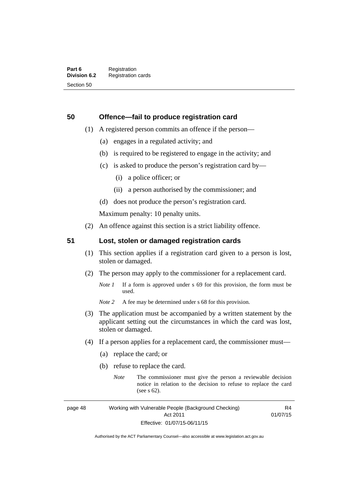# **50 Offence—fail to produce registration card**

- (1) A registered person commits an offence if the person—
	- (a) engages in a regulated activity; and
	- (b) is required to be registered to engage in the activity; and
	- (c) is asked to produce the person's registration card by—
		- (i) a police officer; or
		- (ii) a person authorised by the commissioner; and
	- (d) does not produce the person's registration card.

Maximum penalty: 10 penalty units.

(2) An offence against this section is a strict liability offence.

# **51 Lost, stolen or damaged registration cards**

- (1) This section applies if a registration card given to a person is lost, stolen or damaged.
- (2) The person may apply to the commissioner for a replacement card.
	- *Note 1* If a form is approved under s 69 for this provision, the form must be used.
	- *Note* 2 A fee may be determined under s 68 for this provision.
- (3) The application must be accompanied by a written statement by the applicant setting out the circumstances in which the card was lost, stolen or damaged.
- (4) If a person applies for a replacement card, the commissioner must—
	- (a) replace the card; or
	- (b) refuse to replace the card.
		- *Note* The commissioner must give the person a reviewable decision notice in relation to the decision to refuse to replace the card (see s 62).

page 48 Working with Vulnerable People (Background Checking) Act 2011 Effective: 01/07/15-06/11/15

R4 01/07/15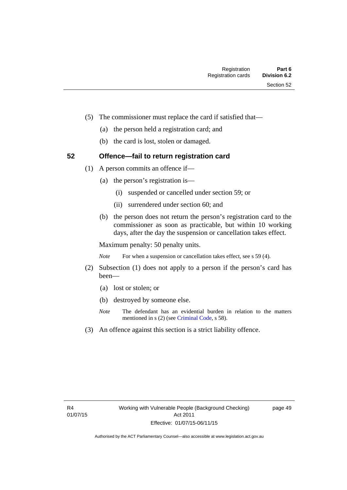- (5) The commissioner must replace the card if satisfied that—
	- (a) the person held a registration card; and
	- (b) the card is lost, stolen or damaged.

# **52 Offence—fail to return registration card**

- (1) A person commits an offence if—
	- (a) the person's registration is—
		- (i) suspended or cancelled under section 59; or
		- (ii) surrendered under section 60; and
	- (b) the person does not return the person's registration card to the commissioner as soon as practicable, but within 10 working days, after the day the suspension or cancellation takes effect.

Maximum penalty: 50 penalty units.

*Note* For when a suspension or cancellation takes effect, see s 59 (4).

- (2) Subsection (1) does not apply to a person if the person's card has been—
	- (a) lost or stolen; or
	- (b) destroyed by someone else.
	- *Note* The defendant has an evidential burden in relation to the matters mentioned in s (2) (see [Criminal Code](http://www.legislation.act.gov.au/a/2002-51/default.asp), s 58).
- (3) An offence against this section is a strict liability offence.

page 49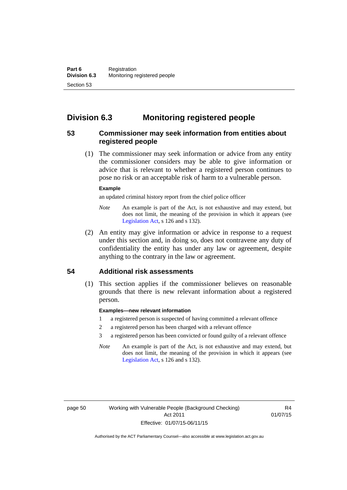# **Division 6.3 Monitoring registered people**

# **53 Commissioner may seek information from entities about registered people**

 (1) The commissioner may seek information or advice from any entity the commissioner considers may be able to give information or advice that is relevant to whether a registered person continues to pose no risk or an acceptable risk of harm to a vulnerable person.

#### **Example**

an updated criminal history report from the chief police officer

- *Note* An example is part of the Act, is not exhaustive and may extend, but does not limit, the meaning of the provision in which it appears (see [Legislation Act,](http://www.legislation.act.gov.au/a/2001-14) s 126 and s 132).
- (2) An entity may give information or advice in response to a request under this section and, in doing so, does not contravene any duty of confidentiality the entity has under any law or agreement, despite anything to the contrary in the law or agreement.

# **54 Additional risk assessments**

(1) This section applies if the commissioner believes on reasonable grounds that there is new relevant information about a registered person.

### **Examples—new relevant information**

- 1 a registered person is suspected of having committed a relevant offence
- 2 a registered person has been charged with a relevant offence
- 3 a registered person has been convicted or found guilty of a relevant offence
- *Note* An example is part of the Act, is not exhaustive and may extend, but does not limit, the meaning of the provision in which it appears (see [Legislation Act,](http://www.legislation.act.gov.au/a/2001-14) s 126 and s 132).

R4 01/07/15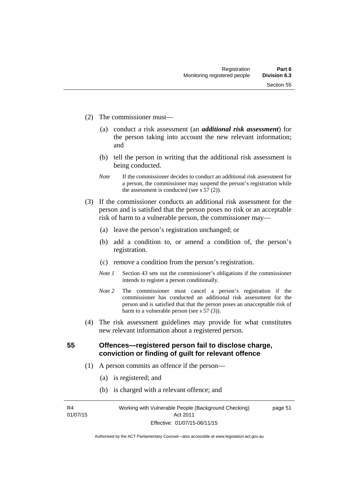- (2) The commissioner must—
	- (a) conduct a risk assessment (an *additional risk assessment*) for the person taking into account the new relevant information; and
	- (b) tell the person in writing that the additional risk assessment is being conducted.
	- *Note* If the commissioner decides to conduct an additional risk assessment for a person, the commissioner may suspend the person's registration while the assessment is conducted (see s  $57(2)$ ).
- (3) If the commissioner conducts an additional risk assessment for the person and is satisfied that the person poses no risk or an acceptable risk of harm to a vulnerable person, the commissioner may—
	- (a) leave the person's registration unchanged; or
	- (b) add a condition to, or amend a condition of, the person's registration.
	- (c) remove a condition from the person's registration.
	- *Note 1* Section 43 sets out the commissioner's obligations if the commissioner intends to register a person conditionally.
	- *Note 2* The commissioner must cancel a person's registration if the commissioner has conducted an additional risk assessment for the person and is satisfied that that the person poses an unacceptable risk of harm to a vulnerable person (see s 57 (3)).
- (4) The risk assessment guidelines may provide for what constitutes new relevant information about a registered person.

**55 Offences—registered person fail to disclose charge, conviction or finding of guilt for relevant offence** 

- (1) A person commits an offence if the person—
	- (a) is registered; and
	- (b) is charged with a relevant offence; and

R4 01/07/15 Working with Vulnerable People (Background Checking) Act 2011 Effective: 01/07/15-06/11/15

page 51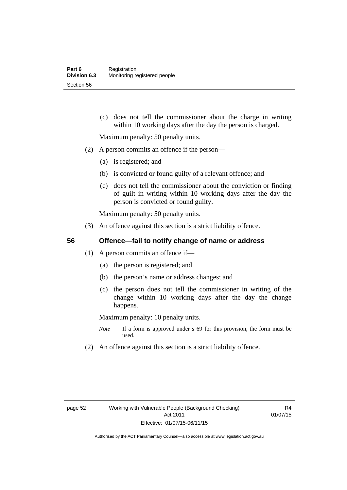(c) does not tell the commissioner about the charge in writing within 10 working days after the day the person is charged.

Maximum penalty: 50 penalty units.

- (2) A person commits an offence if the person—
	- (a) is registered; and
	- (b) is convicted or found guilty of a relevant offence; and
	- (c) does not tell the commissioner about the conviction or finding of guilt in writing within 10 working days after the day the person is convicted or found guilty.

Maximum penalty: 50 penalty units.

(3) An offence against this section is a strict liability offence.

# **56 Offence—fail to notify change of name or address**

- (1) A person commits an offence if—
	- (a) the person is registered; and
	- (b) the person's name or address changes; and
	- (c) the person does not tell the commissioner in writing of the change within 10 working days after the day the change happens.

Maximum penalty: 10 penalty units.

- *Note* If a form is approved under s 69 for this provision, the form must be used.
- (2) An offence against this section is a strict liability offence.

R4 01/07/15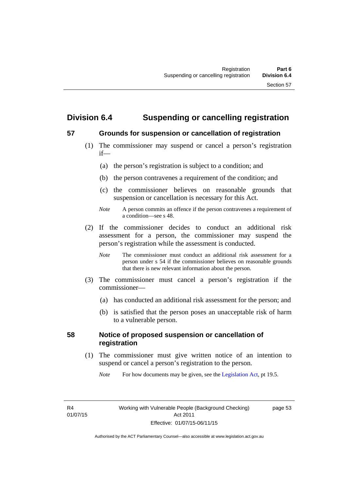# **Division 6.4 Suspending or cancelling registration**

# **57 Grounds for suspension or cancellation of registration**

- (1) The commissioner may suspend or cancel a person's registration if—
	- (a) the person's registration is subject to a condition; and
	- (b) the person contravenes a requirement of the condition; and
	- (c) the commissioner believes on reasonable grounds that suspension or cancellation is necessary for this Act.
	- *Note* A person commits an offence if the person contravenes a requirement of a condition—see s 48.
- (2) If the commissioner decides to conduct an additional risk assessment for a person, the commissioner may suspend the person's registration while the assessment is conducted.
	- *Note* The commissioner must conduct an additional risk assessment for a person under s 54 if the commissioner believes on reasonable grounds that there is new relevant information about the person.
- (3) The commissioner must cancel a person's registration if the commissioner—
	- (a) has conducted an additional risk assessment for the person; and
	- (b) is satisfied that the person poses an unacceptable risk of harm to a vulnerable person.

# **58 Notice of proposed suspension or cancellation of registration**

 (1) The commissioner must give written notice of an intention to suspend or cancel a person's registration to the person.

*Note* For how documents may be given, see the [Legislation Act,](http://www.legislation.act.gov.au/a/2001-14) pt 19.5.

R4 01/07/15 page 53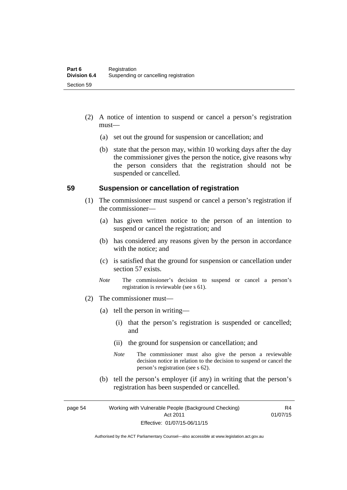- (2) A notice of intention to suspend or cancel a person's registration must—
	- (a) set out the ground for suspension or cancellation; and
	- (b) state that the person may, within 10 working days after the day the commissioner gives the person the notice, give reasons why the person considers that the registration should not be suspended or cancelled.

## **59 Suspension or cancellation of registration**

- (1) The commissioner must suspend or cancel a person's registration if the commissioner—
	- (a) has given written notice to the person of an intention to suspend or cancel the registration; and
	- (b) has considered any reasons given by the person in accordance with the notice; and
	- (c) is satisfied that the ground for suspension or cancellation under section 57 exists.
	- *Note* The commissioner's decision to suspend or cancel a person's registration is reviewable (see s 61).
- (2) The commissioner must—
	- (a) tell the person in writing—
		- (i) that the person's registration is suspended or cancelled; and
		- (ii) the ground for suspension or cancellation; and
		- *Note* The commissioner must also give the person a reviewable decision notice in relation to the decision to suspend or cancel the person's registration (see s 62).
	- (b) tell the person's employer (if any) in writing that the person's registration has been suspended or cancelled.

page 54 Working with Vulnerable People (Background Checking) Act 2011 Effective: 01/07/15-06/11/15

R4 01/07/15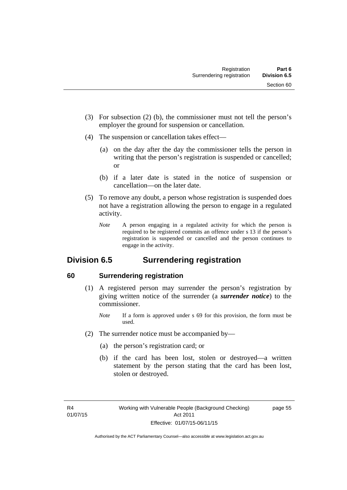- (3) For subsection (2) (b), the commissioner must not tell the person's employer the ground for suspension or cancellation.
- (4) The suspension or cancellation takes effect—
	- (a) on the day after the day the commissioner tells the person in writing that the person's registration is suspended or cancelled; or
	- (b) if a later date is stated in the notice of suspension or cancellation—on the later date.
- (5) To remove any doubt, a person whose registration is suspended does not have a registration allowing the person to engage in a regulated activity.
	- *Note* A person engaging in a regulated activity for which the person is required to be registered commits an offence under s 13 if the person's registration is suspended or cancelled and the person continues to engage in the activity.

# **Division 6.5 Surrendering registration**

# **60 Surrendering registration**

- (1) A registered person may surrender the person's registration by giving written notice of the surrender (a *surrender notice*) to the commissioner.
	- *Note* If a form is approved under s 69 for this provision, the form must be used.
- (2) The surrender notice must be accompanied by—
	- (a) the person's registration card; or
	- (b) if the card has been lost, stolen or destroyed—a written statement by the person stating that the card has been lost, stolen or destroyed.

page 55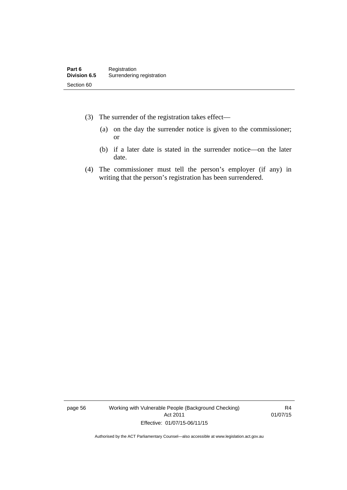- (3) The surrender of the registration takes effect—
	- (a) on the day the surrender notice is given to the commissioner; or
	- (b) if a later date is stated in the surrender notice—on the later date.
- (4) The commissioner must tell the person's employer (if any) in writing that the person's registration has been surrendered.

page 56 Working with Vulnerable People (Background Checking) Act 2011 Effective: 01/07/15-06/11/15

R4 01/07/15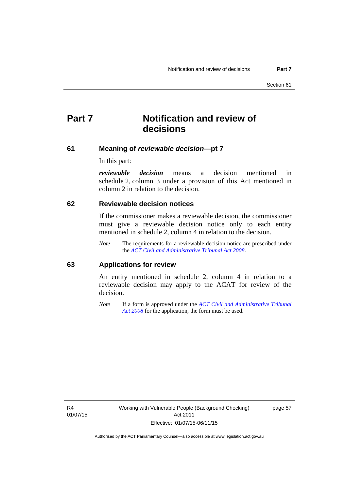# **Part 7 Notification and review of decisions**

### **61 Meaning of** *reviewable decision***—pt 7**

In this part:

*reviewable decision* means a decision mentioned in schedule 2, column 3 under a provision of this Act mentioned in column 2 in relation to the decision.

### **62 Reviewable decision notices**

If the commissioner makes a reviewable decision, the commissioner must give a reviewable decision notice only to each entity mentioned in schedule 2, column 4 in relation to the decision.

*Note* The requirements for a reviewable decision notice are prescribed under the *[ACT Civil and Administrative Tribunal Act 2008](http://www.legislation.act.gov.au/a/2008-35)*.

### **63 Applications for review**

An entity mentioned in schedule 2, column 4 in relation to a reviewable decision may apply to the ACAT for review of the decision.

*Note* If a form is approved under the *[ACT Civil and Administrative Tribunal](http://www.legislation.act.gov.au/a/2008-35)  [Act 2008](http://www.legislation.act.gov.au/a/2008-35)* for the application, the form must be used.

R4 01/07/15 page 57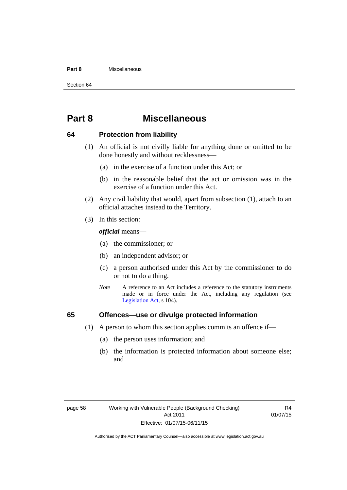#### **Part 8** Miscellaneous

Section 64

# **Part 8 Miscellaneous**

## **64 Protection from liability**

- (1) An official is not civilly liable for anything done or omitted to be done honestly and without recklessness—
	- (a) in the exercise of a function under this Act; or
	- (b) in the reasonable belief that the act or omission was in the exercise of a function under this Act.
- (2) Any civil liability that would, apart from subsection (1), attach to an official attaches instead to the Territory.
- (3) In this section:

*official* means—

- (a) the commissioner; or
- (b) an independent advisor; or
- (c) a person authorised under this Act by the commissioner to do or not to do a thing.
- *Note* A reference to an Act includes a reference to the statutory instruments made or in force under the Act, including any regulation (see [Legislation Act,](http://www.legislation.act.gov.au/a/2001-14) s 104).

# **65 Offences—use or divulge protected information**

- (1) A person to whom this section applies commits an offence if—
	- (a) the person uses information; and
	- (b) the information is protected information about someone else; and

R4 01/07/15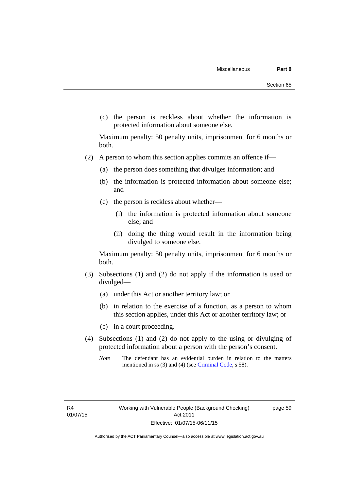(c) the person is reckless about whether the information is protected information about someone else.

Maximum penalty: 50 penalty units, imprisonment for 6 months or both.

- (2) A person to whom this section applies commits an offence if—
	- (a) the person does something that divulges information; and
	- (b) the information is protected information about someone else; and
	- (c) the person is reckless about whether—
		- (i) the information is protected information about someone else; and
		- (ii) doing the thing would result in the information being divulged to someone else.

Maximum penalty: 50 penalty units, imprisonment for 6 months or both.

- (3) Subsections (1) and (2) do not apply if the information is used or divulged—
	- (a) under this Act or another territory law; or
	- (b) in relation to the exercise of a function, as a person to whom this section applies, under this Act or another territory law; or
	- (c) in a court proceeding.
- (4) Subsections (1) and (2) do not apply to the using or divulging of protected information about a person with the person's consent.
	- *Note* The defendant has an evidential burden in relation to the matters mentioned in ss (3) and (4) (see [Criminal Code](http://www.legislation.act.gov.au/a/2002-51/default.asp), s 58).

page 59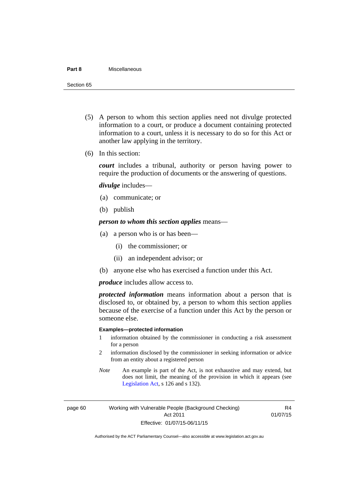#### **Part 8** Miscellaneous

Section 65

- (5) A person to whom this section applies need not divulge protected information to a court, or produce a document containing protected information to a court, unless it is necessary to do so for this Act or another law applying in the territory.
- (6) In this section:

*court* includes a tribunal, authority or person having power to require the production of documents or the answering of questions.

*divulge* includes—

- (a) communicate; or
- (b) publish

*person to whom this section applies* means—

- (a) a person who is or has been—
	- (i) the commissioner; or
	- (ii) an independent advisor; or
- (b) anyone else who has exercised a function under this Act.

*produce* includes allow access to.

*protected information* means information about a person that is disclosed to, or obtained by, a person to whom this section applies because of the exercise of a function under this Act by the person or someone else.

#### **Examples—protected information**

- 1 information obtained by the commissioner in conducting a risk assessment for a person
- 2 information disclosed by the commissioner in seeking information or advice from an entity about a registered person
- *Note* An example is part of the Act, is not exhaustive and may extend, but does not limit, the meaning of the provision in which it appears (see [Legislation Act,](http://www.legislation.act.gov.au/a/2001-14) s 126 and s 132).

page 60 Working with Vulnerable People (Background Checking) Act 2011 Effective: 01/07/15-06/11/15

R4 01/07/15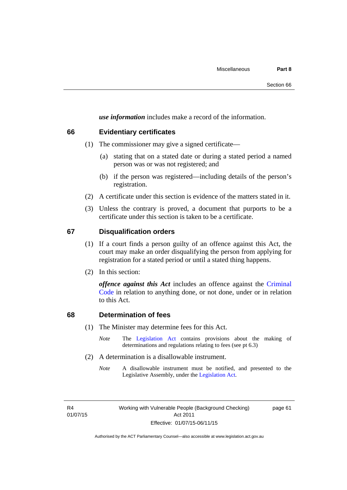*use information* includes make a record of the information.

# **66 Evidentiary certificates**

- (1) The commissioner may give a signed certificate—
	- (a) stating that on a stated date or during a stated period a named person was or was not registered; and
	- (b) if the person was registered—including details of the person's registration.
- (2) A certificate under this section is evidence of the matters stated in it.
- (3) Unless the contrary is proved, a document that purports to be a certificate under this section is taken to be a certificate.

# **67 Disqualification orders**

- (1) If a court finds a person guilty of an offence against this Act, the court may make an order disqualifying the person from applying for registration for a stated period or until a stated thing happens.
- (2) In this section:

*offence against this Act* includes an offence against the [Criminal](http://www.legislation.act.gov.au/a/2002-51)  [Code](http://www.legislation.act.gov.au/a/2002-51) in relation to anything done, or not done, under or in relation to this Act.

# **68 Determination of fees**

- (1) The Minister may determine fees for this Act.
	- *Note* The [Legislation Act](http://www.legislation.act.gov.au/a/2001-14) contains provisions about the making of determinations and regulations relating to fees (see pt 6.3)
- (2) A determination is a disallowable instrument.
	- *Note* A disallowable instrument must be notified, and presented to the Legislative Assembly, under the [Legislation Act.](http://www.legislation.act.gov.au/a/2001-14)

R4 01/07/15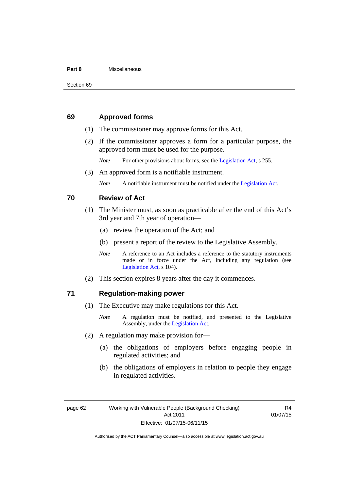#### **Part 8** Miscellaneous

## **69 Approved forms**

- (1) The commissioner may approve forms for this Act.
- (2) If the commissioner approves a form for a particular purpose, the approved form must be used for the purpose.

*Note* For other provisions about forms, see the [Legislation Act,](http://www.legislation.act.gov.au/a/2001-14) s 255.

(3) An approved form is a notifiable instrument.

*Note* A notifiable instrument must be notified under the [Legislation Act](http://www.legislation.act.gov.au/a/2001-14).

## **70 Review of Act**

- (1) The Minister must, as soon as practicable after the end of this Act's 3rd year and 7th year of operation—
	- (a) review the operation of the Act; and
	- (b) present a report of the review to the Legislative Assembly.
	- *Note* A reference to an Act includes a reference to the statutory instruments made or in force under the Act, including any regulation (see [Legislation Act,](http://www.legislation.act.gov.au/a/2001-14) s 104).
- (2) This section expires 8 years after the day it commences.

## **71 Regulation-making power**

- (1) The Executive may make regulations for this Act.
	- *Note* A regulation must be notified, and presented to the Legislative Assembly, under the [Legislation Act](http://www.legislation.act.gov.au/a/2001-14).
- (2) A regulation may make provision for—
	- (a) the obligations of employers before engaging people in regulated activities; and
	- (b) the obligations of employers in relation to people they engage in regulated activities.

page 62 Working with Vulnerable People (Background Checking) Act 2011 Effective: 01/07/15-06/11/15

R4 01/07/15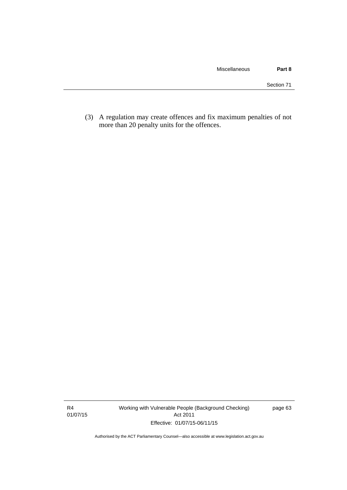(3) A regulation may create offences and fix maximum penalties of not more than 20 penalty units for the offences.

R4 01/07/15 Working with Vulnerable People (Background Checking) Act 2011 Effective: 01/07/15-06/11/15

page 63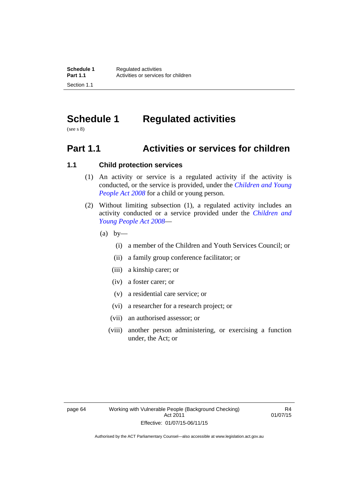# **Schedule 1 Regulated activities**

(see s 8)

# **Part 1.1 Activities or services for children**

# **1.1 Child protection services**

- (1) An activity or service is a regulated activity if the activity is conducted, or the service is provided, under the *[Children and Young](http://www.legislation.act.gov.au/a/2008-19)  [People Act 2008](http://www.legislation.act.gov.au/a/2008-19)* for a child or young person.
- (2) Without limiting subsection (1), a regulated activity includes an activity conducted or a service provided under the *[Children and](http://www.legislation.act.gov.au/a/2008-19)  [Young People Act 2008](http://www.legislation.act.gov.au/a/2008-19)*—
	- $(a)$  by—
		- (i) a member of the Children and Youth Services Council; or
		- (ii) a family group conference facilitator; or
		- (iii) a kinship carer; or
		- (iv) a foster carer; or
		- (v) a residential care service; or
		- (vi) a researcher for a research project; or
		- (vii) an authorised assessor; or
		- (viii) another person administering, or exercising a function under, the Act; or

R4 01/07/15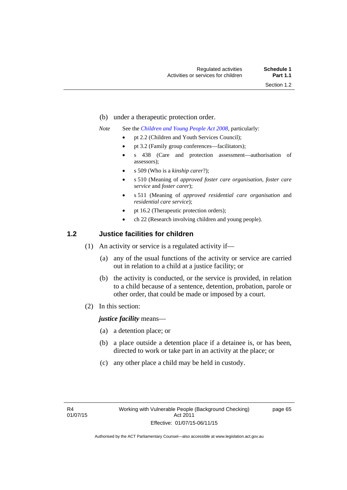- (b) under a therapeutic protection order.
- *Note* See the *[Children and Young People Act 2008](http://www.legislation.act.gov.au/a/2008-19)*, particularly:
	- pt 2.2 (Children and Youth Services Council);
	- pt 3.2 (Family group conferences—facilitators);
	- s 438 (Care and protection assessment—authorisation of assessors);
	- s 509 (Who is a *kinship carer*?);
	- s 510 (Meaning of *approved foster care organisation*, *foster care service* and *foster carer*);
	- s 511 (Meaning of *approved residential care organisation* and *residential care service*);
	- pt 16.2 (Therapeutic protection orders);
	- ch 22 (Research involving children and young people).

## **1.2 Justice facilities for children**

- (1) An activity or service is a regulated activity if—
	- (a) any of the usual functions of the activity or service are carried out in relation to a child at a justice facility; or
	- (b) the activity is conducted, or the service is provided, in relation to a child because of a sentence, detention, probation, parole or other order, that could be made or imposed by a court.
- (2) In this section:

*justice facility* means—

- (a) a detention place; or
- (b) a place outside a detention place if a detainee is, or has been, directed to work or take part in an activity at the place; or
- (c) any other place a child may be held in custody.

page 65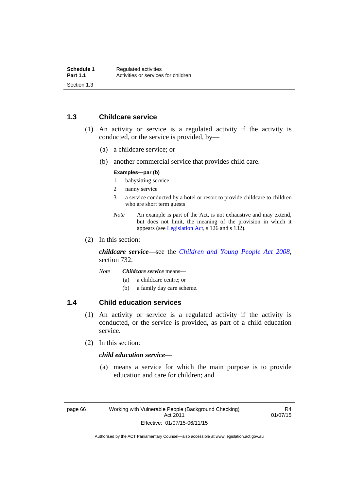## **1.3 Childcare service**

- (1) An activity or service is a regulated activity if the activity is conducted, or the service is provided, by—
	- (a) a childcare service; or
	- (b) another commercial service that provides child care.

#### **Examples—par (b)**

- 1 babysitting service
- 2 nanny service
- 3 a service conducted by a hotel or resort to provide childcare to children who are short term guests
- *Note* An example is part of the Act, is not exhaustive and may extend, but does not limit, the meaning of the provision in which it appears (see [Legislation Act,](http://www.legislation.act.gov.au/a/2001-14) s 126 and s 132).
- (2) In this section:

*childcare service*—see the *[Children and Young People Act 2008](http://www.legislation.act.gov.au/a/2008-19)*, section 732.

- *Note Childcare service* means—
	- (a) a childcare centre; or
	- (b) a family day care scheme.

## **1.4 Child education services**

- (1) An activity or service is a regulated activity if the activity is conducted, or the service is provided, as part of a child education service.
- (2) In this section:

## *child education service*—

 (a) means a service for which the main purpose is to provide education and care for children; and

R4 01/07/15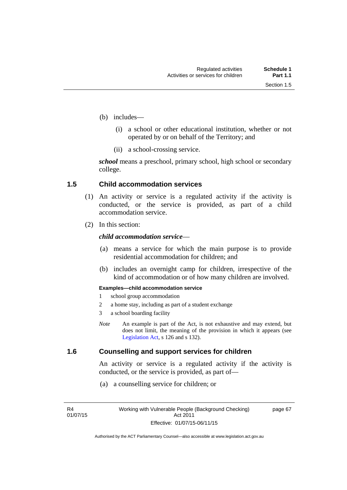page 67

- (b) includes—
	- (i) a school or other educational institution, whether or not operated by or on behalf of the Territory; and
	- (ii) a school-crossing service.

*school* means a preschool, primary school, high school or secondary college.

## **1.5 Child accommodation services**

- (1) An activity or service is a regulated activity if the activity is conducted, or the service is provided, as part of a child accommodation service.
- (2) In this section:

## *child accommodation service*—

- (a) means a service for which the main purpose is to provide residential accommodation for children; and
- (b) includes an overnight camp for children, irrespective of the kind of accommodation or of how many children are involved.

#### **Examples—child accommodation service**

- 1 school group accommodation
- 2 a home stay, including as part of a student exchange
- 3 a school boarding facility
- *Note* An example is part of the Act, is not exhaustive and may extend, but does not limit, the meaning of the provision in which it appears (see [Legislation Act,](http://www.legislation.act.gov.au/a/2001-14) s 126 and s 132).

## **1.6 Counselling and support services for children**

An activity or service is a regulated activity if the activity is conducted, or the service is provided, as part of—

(a) a counselling service for children; or

R4 01/07/15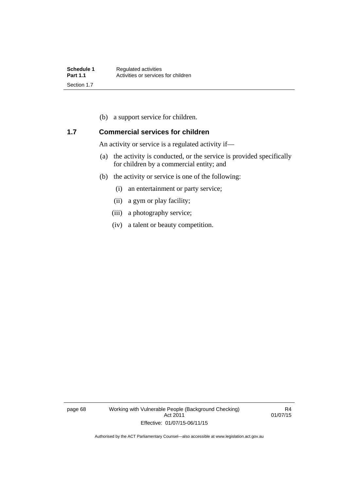(b) a support service for children.

## **1.7 Commercial services for children**

An activity or service is a regulated activity if—

- (a) the activity is conducted, or the service is provided specifically for children by a commercial entity; and
- (b) the activity or service is one of the following:
	- (i) an entertainment or party service;
	- (ii) a gym or play facility;
	- (iii) a photography service;
	- (iv) a talent or beauty competition.

page 68 Working with Vulnerable People (Background Checking) Act 2011 Effective: 01/07/15-06/11/15

R4 01/07/15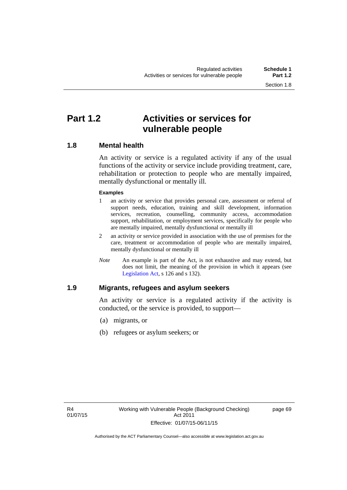## **Part 1.2 Activities or services for vulnerable people**

## **1.8 Mental health**

An activity or service is a regulated activity if any of the usual functions of the activity or service include providing treatment, care, rehabilitation or protection to people who are mentally impaired, mentally dysfunctional or mentally ill.

## **Examples**

- 1 an activity or service that provides personal care, assessment or referral of support needs, education, training and skill development, information services, recreation, counselling, community access, accommodation support, rehabilitation, or employment services, specifically for people who are mentally impaired, mentally dysfunctional or mentally ill
- 2 an activity or service provided in association with the use of premises for the care, treatment or accommodation of people who are mentally impaired, mentally dysfunctional or mentally ill
- *Note* An example is part of the Act, is not exhaustive and may extend, but does not limit, the meaning of the provision in which it appears (see [Legislation Act,](http://www.legislation.act.gov.au/a/2001-14) s 126 and s 132).

## **1.9 Migrants, refugees and asylum seekers**

An activity or service is a regulated activity if the activity is conducted, or the service is provided, to support—

- (a) migrants, or
- (b) refugees or asylum seekers; or

page 69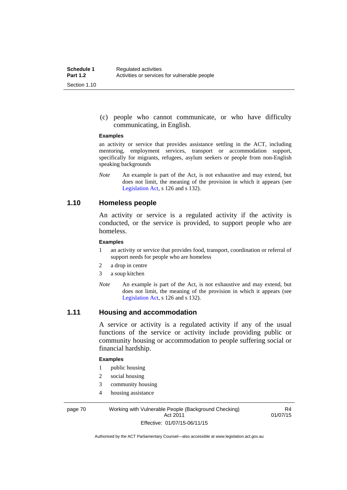(c) people who cannot communicate, or who have difficulty communicating, in English.

#### **Examples**

an activity or service that provides assistance settling in the ACT, including mentoring, employment services, transport or accommodation support, specifically for migrants, refugees, asylum seekers or people from non-English speaking backgrounds

*Note* An example is part of the Act, is not exhaustive and may extend, but does not limit, the meaning of the provision in which it appears (see [Legislation Act,](http://www.legislation.act.gov.au/a/2001-14) s 126 and s 132).

## **1.10 Homeless people**

An activity or service is a regulated activity if the activity is conducted, or the service is provided, to support people who are homeless.

#### **Examples**

- 1 an activity or service that provides food, transport, coordination or referral of support needs for people who are homeless
- 2 a drop in centre
- 3 a soup kitchen
- *Note* An example is part of the Act, is not exhaustive and may extend, but does not limit, the meaning of the provision in which it appears (see [Legislation Act,](http://www.legislation.act.gov.au/a/2001-14) s 126 and s 132).

## **1.11 Housing and accommodation**

A service or activity is a regulated activity if any of the usual functions of the service or activity include providing public or community housing or accommodation to people suffering social or financial hardship.

#### **Examples**

- 1 public housing
- 2 social housing
- 3 community housing
- 4 housing assistance

page 70 Working with Vulnerable People (Background Checking) Act 2011 Effective: 01/07/15-06/11/15

R4 01/07/15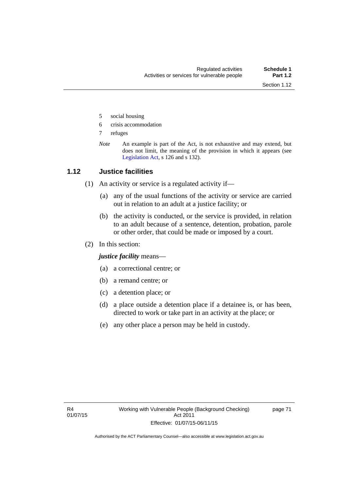- 5 social housing
- 6 crisis accommodation
- 7 refuges
- *Note* An example is part of the Act, is not exhaustive and may extend, but does not limit, the meaning of the provision in which it appears (see [Legislation Act,](http://www.legislation.act.gov.au/a/2001-14) s 126 and s 132).

## **1.12 Justice facilities**

- (1) An activity or service is a regulated activity if—
	- (a) any of the usual functions of the activity or service are carried out in relation to an adult at a justice facility; or
	- (b) the activity is conducted, or the service is provided, in relation to an adult because of a sentence, detention, probation, parole or other order, that could be made or imposed by a court.
- (2) In this section:

*justice facility* means—

- (a) a correctional centre; or
- (b) a remand centre; or
- (c) a detention place; or
- (d) a place outside a detention place if a detainee is, or has been, directed to work or take part in an activity at the place; or
- (e) any other place a person may be held in custody.

page 71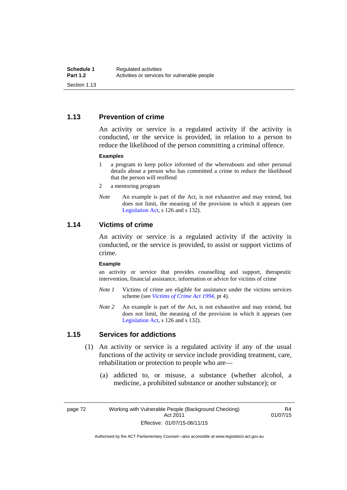## **1.13 Prevention of crime**

An activity or service is a regulated activity if the activity is conducted, or the service is provided, in relation to a person to reduce the likelihood of the person committing a criminal offence.

#### **Examples**

- 1 a program to keep police informed of the whereabouts and other personal details about a person who has committed a crime to reduce the likelihood that the person will reoffend
- 2 a mentoring program
- *Note* An example is part of the Act, is not exhaustive and may extend, but does not limit, the meaning of the provision in which it appears (see [Legislation Act,](http://www.legislation.act.gov.au/a/2001-14) s 126 and s 132).

## **1.14 Victims of crime**

An activity or service is a regulated activity if the activity is conducted, or the service is provided, to assist or support victims of crime.

#### **Example**

an activity or service that provides counselling and support, therapeutic intervention, financial assistance, information or advice for victims of crime

- *Note 1* Victims of crime are eligible for assistance under the victims services scheme (see *[Victims of Crime Act 1994](http://www.legislation.act.gov.au/a/1994-83)*, pt 4).
- *Note 2* An example is part of the Act, is not exhaustive and may extend, but does not limit, the meaning of the provision in which it appears (see [Legislation Act,](http://www.legislation.act.gov.au/a/2001-14) s 126 and s 132).

## **1.15 Services for addictions**

- (1) An activity or service is a regulated activity if any of the usual functions of the activity or service include providing treatment, care, rehabilitation or protection to people who are—
	- (a) addicted to, or misuse, a substance (whether alcohol, a medicine, a prohibited substance or another substance); or

page 72 Working with Vulnerable People (Background Checking) Act 2011 Effective: 01/07/15-06/11/15

R4 01/07/15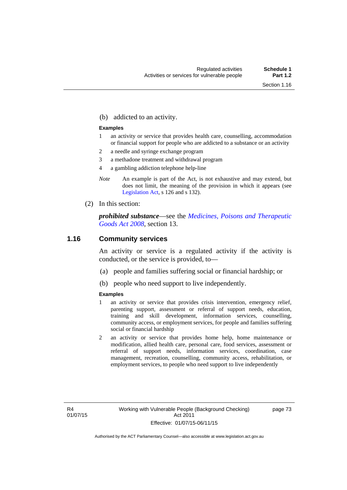(b) addicted to an activity.

#### **Examples**

- 1 an activity or service that provides health care, counselling, accommodation or financial support for people who are addicted to a substance or an activity
- 2 a needle and syringe exchange program
- 3 a methadone treatment and withdrawal program
- 4 a gambling addiction telephone help-line
- *Note* An example is part of the Act, is not exhaustive and may extend, but does not limit, the meaning of the provision in which it appears (see [Legislation Act,](http://www.legislation.act.gov.au/a/2001-14) s 126 and s 132).
- (2) In this section:

*prohibited substance*—see the *[Medicines, Poisons and Therapeutic](http://www.legislation.act.gov.au/a/2008-26)  [Goods Act 2008](http://www.legislation.act.gov.au/a/2008-26)*, section 13.

## **1.16 Community services**

An activity or service is a regulated activity if the activity is conducted, or the service is provided, to—

- (a) people and families suffering social or financial hardship; or
- (b) people who need support to live independently.

#### **Examples**

- 1 an activity or service that provides crisis intervention, emergency relief, parenting support, assessment or referral of support needs, education, training and skill development, information services, counselling, community access, or employment services, for people and families suffering social or financial hardship
- 2 an activity or service that provides home help, home maintenance or modification, allied health care, personal care, food services, assessment or referral of support needs, information services, coordination, case management, recreation, counselling, community access, rehabilitation, or employment services, to people who need support to live independently

page 73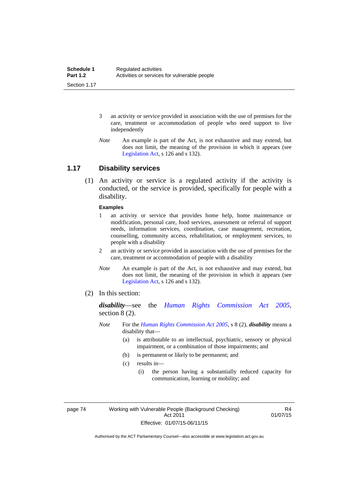- 3 an activity or service provided in association with the use of premises for the care, treatment or accommodation of people who need support to live independently
- *Note* An example is part of the Act, is not exhaustive and may extend, but does not limit, the meaning of the provision in which it appears (see [Legislation Act,](http://www.legislation.act.gov.au/a/2001-14) s 126 and s 132).

## **1.17 Disability services**

 (1) An activity or service is a regulated activity if the activity is conducted, or the service is provided, specifically for people with a disability.

#### **Examples**

- 1 an activity or service that provides home help, home maintenance or modification, personal care, food services, assessment or referral of support needs, information services, coordination, case management, recreation, counselling, community access, rehabilitation, or employment services, to people with a disability
- 2 an activity or service provided in association with the use of premises for the care, treatment or accommodation of people with a disability
- *Note* An example is part of the Act, is not exhaustive and may extend, but does not limit, the meaning of the provision in which it appears (see [Legislation Act,](http://www.legislation.act.gov.au/a/2001-14) s 126 and s 132).
- (2) In this section:

*disability*—see the *[Human Rights Commission Act 2005](http://www.legislation.act.gov.au/a/2005-40)*, section 8 (2).

- *Note* For the *[Human Rights Commission Act 2005](http://www.legislation.act.gov.au/a/2005-40)*, s 8 (2), *disability* means a disability that—
	- (a) is attributable to an intellectual, psychiatric, sensory or physical impairment, or a combination of those impairments; and
	- (b) is permanent or likely to be permanent; and
	- (c) results in—
		- (i) the person having a substantially reduced capacity for communication, learning or mobility; and

page 74 Working with Vulnerable People (Background Checking) Act 2011 Effective: 01/07/15-06/11/15

R4 01/07/15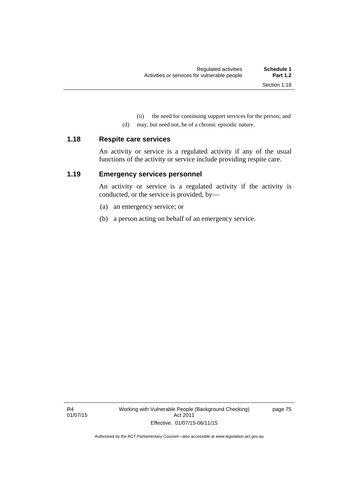(ii) the need for continuing support services for the person; and

(d) may, but need not, be of a chronic episodic nature.

#### **1.18 Respite care services**

An activity or service is a regulated activity if any of the usual functions of the activity or service include providing respite care.

## **1.19 Emergency services personnel**

An activity or service is a regulated activity if the activity is conducted, or the service is provided, by—

- (a) an emergency service; or
- (b) a person acting on behalf of an emergency service.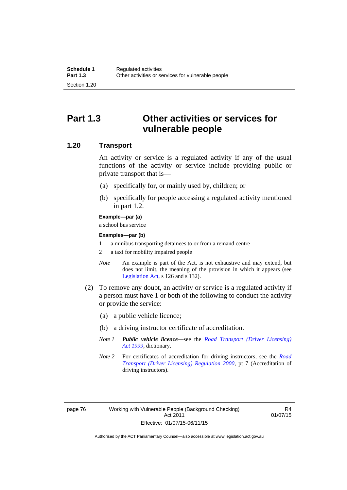## **Part 1.3 Other activities or services for vulnerable people**

## **1.20 Transport**

An activity or service is a regulated activity if any of the usual functions of the activity or service include providing public or private transport that is—

- (a) specifically for, or mainly used by, children; or
- (b) specifically for people accessing a regulated activity mentioned in part 1.2.

#### **Example—par (a)**

a school bus service

#### **Examples—par (b)**

- 1 a minibus transporting detainees to or from a remand centre
- 2 a taxi for mobility impaired people
- *Note* An example is part of the Act, is not exhaustive and may extend, but does not limit, the meaning of the provision in which it appears (see [Legislation Act,](http://www.legislation.act.gov.au/a/2001-14) s 126 and s 132).
- (2) To remove any doubt, an activity or service is a regulated activity if a person must have 1 or both of the following to conduct the activity or provide the service:
	- (a) a public vehicle licence;
	- (b) a driving instructor certificate of accreditation.
	- *Note 1 Public vehicle licence*—see the *[Road Transport \(Driver Licensing\)](http://www.legislation.act.gov.au/a/1999-78)  [Act 1999](http://www.legislation.act.gov.au/a/1999-78)*, dictionary.
	- *Note 2* For certificates of accreditation for driving instructors, see the *[Road](http://www.legislation.act.gov.au/sl/2000-14)  [Transport \(Driver Licensing\) Regulation 2000](http://www.legislation.act.gov.au/sl/2000-14)*, pt 7 (Accreditation of driving instructors).

R4 01/07/15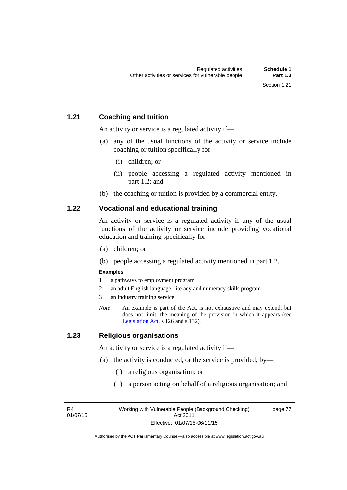## **1.21 Coaching and tuition**

An activity or service is a regulated activity if—

- (a) any of the usual functions of the activity or service include coaching or tuition specifically for—
	- (i) children; or
	- (ii) people accessing a regulated activity mentioned in part 1.2; and
- (b) the coaching or tuition is provided by a commercial entity.

## **1.22 Vocational and educational training**

An activity or service is a regulated activity if any of the usual functions of the activity or service include providing vocational education and training specifically for—

- (a) children; or
- (b) people accessing a regulated activity mentioned in part 1.2.

## **Examples**

- 1 a pathways to employment program
- 2 an adult English language, literacy and numeracy skills program
- 3 an industry training service
- *Note* An example is part of the Act, is not exhaustive and may extend, but does not limit, the meaning of the provision in which it appears (see [Legislation Act,](http://www.legislation.act.gov.au/a/2001-14) s 126 and s 132).

## **1.23 Religious organisations**

An activity or service is a regulated activity if—

- (a) the activity is conducted, or the service is provided, by—
	- (i) a religious organisation; or
	- (ii) a person acting on behalf of a religious organisation; and

R4 01/07/15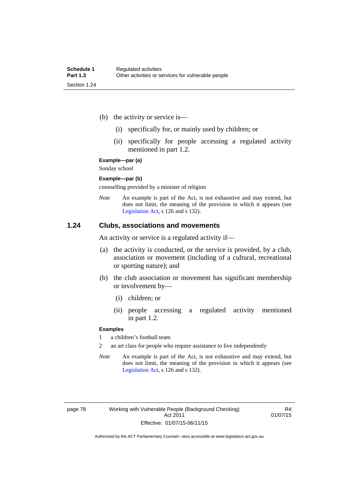- (b) the activity or service is—
	- (i) specifically for, or mainly used by children; or
	- (ii) specifically for people accessing a regulated activity mentioned in part 1.2.

#### **Example—par (a)**

Sunday school

#### **Example—par (b)**

counselling provided by a minister of religion

*Note* An example is part of the Act, is not exhaustive and may extend, but does not limit, the meaning of the provision in which it appears (see [Legislation Act,](http://www.legislation.act.gov.au/a/2001-14) s 126 and s 132).

## **1.24 Clubs, associations and movements**

An activity or service is a regulated activity if—

- (a) the activity is conducted, or the service is provided, by a club, association or movement (including of a cultural, recreational or sporting nature); and
- (b) the club association or movement has significant membership or involvement by—
	- (i) children; or
	- (ii) people accessing a regulated activity mentioned in part 1.2.

#### **Examples**

1 a children's football team

2 an art class for people who require assistance to live independently

*Note* An example is part of the Act, is not exhaustive and may extend, but does not limit, the meaning of the provision in which it appears (see [Legislation Act,](http://www.legislation.act.gov.au/a/2001-14) s 126 and s 132).

R4 01/07/15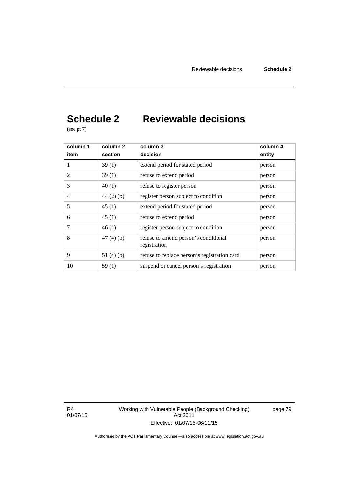# **Schedule 2 Reviewable decisions**

(see pt 7)

| column 1       | column 2    | column 3                                             | column 4 |
|----------------|-------------|------------------------------------------------------|----------|
| item           | section     | decision                                             | entity   |
| 1              | 39(1)       | extend period for stated period                      | person   |
| 2              | 39(1)       | refuse to extend period                              | person   |
| 3              | 40(1)       | refuse to register person                            | person   |
| $\overline{4}$ | $44(2)$ (b) | register person subject to condition                 | person   |
| 5              | 45(1)       | extend period for stated period                      | person   |
| 6              | 45(1)       | refuse to extend period                              | person   |
| 7              | 46(1)       | register person subject to condition                 | person   |
| 8              | 47(4)(b)    | refuse to amend person's conditional<br>registration | person   |
| 9              | 51 $(4)(b)$ | refuse to replace person's registration card         | person   |
| 10             | 59(1)       | suspend or cancel person's registration              | person   |

R4 01/07/15 Working with Vulnerable People (Background Checking) Act 2011 Effective: 01/07/15-06/11/15

page 79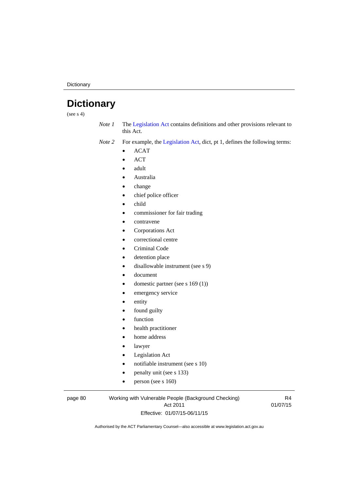**Dictionary** 

# **Dictionary**

(see  $s$  4)

*Note 1* The [Legislation Act](http://www.legislation.act.gov.au/a/2001-14) contains definitions and other provisions relevant to this Act.

*Note 2* For example, the [Legislation Act,](http://www.legislation.act.gov.au/a/2001-14) dict, pt 1, defines the following terms:

- $\bullet$  ACAT
- ACT
- adult
- Australia
- change
- chief police officer
- child
- commissioner for fair trading
- contravene
- Corporations Act
- correctional centre
- Criminal Code
- detention place
- disallowable instrument (see s 9)
- document
- domestic partner (see s 169 (1))
- emergency service
- entity
- found guilty
- function
- health practitioner
- home address
- lawyer
- Legislation Act
- notifiable instrument (see s 10)
- penalty unit (see s 133)
- $\bullet$  person (see s 160)

#### page 80 Working with Vulnerable People (Background Checking) Act 2011 Effective: 01/07/15-06/11/15

R4 01/07/15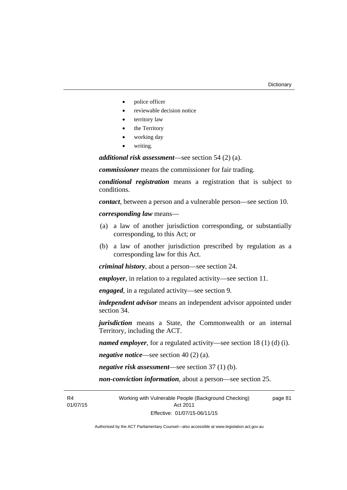- police officer
- reviewable decision notice
- territory law
- the Territory
- working day
- writing.

*additional risk assessment*—see section 54 (2) (a).

*commissioner* means the commissioner for fair trading.

*conditional registration* means a registration that is subject to conditions.

*contact*, between a person and a vulnerable person—see section 10.

*corresponding law* means—

- (a) a law of another jurisdiction corresponding, or substantially corresponding, to this Act; or
- (b) a law of another jurisdiction prescribed by regulation as a corresponding law for this Act.

*criminal history*, about a person—see section 24.

*employer*, in relation to a regulated activity—see section 11.

*engaged*, in a regulated activity—see section 9.

*independent advisor* means an independent advisor appointed under section 34.

*jurisdiction* means a State, the Commonwealth or an internal Territory, including the ACT.

*named employer*, for a regulated activity—see section 18 (1) (d) (i).

*negative notice*—see section 40 (2) (a).

*negative risk assessment*—see section 37 (1) (b).

*non-conviction information*, about a person—see section 25.

R4 01/07/15 Working with Vulnerable People (Background Checking) Act 2011 Effective: 01/07/15-06/11/15

page 81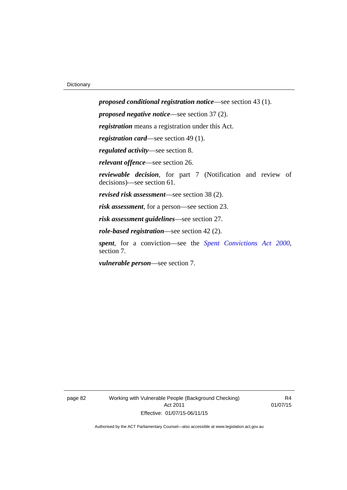*proposed conditional registration notice*—see section 43 (1). *proposed negative notice*—see section 37 (2). *registration* means a registration under this Act. *registration card*—see section 49 (1). *regulated activity*—see section 8. *relevant offence*—see section 26. *reviewable decision*, for part 7 (Notification and review of decisions)—see section 61. *revised risk assessment*—see section 38 (2). *risk assessment*, for a person—see section 23. *risk assessment guidelines*—see section 27. *role-based registration*—see section 42 (2). *spent*, for a conviction—see the *[Spent Convictions Act 2000](http://www.legislation.act.gov.au/a/2000-48)*, section 7.

*vulnerable person*—see section 7.

page 82 Working with Vulnerable People (Background Checking) Act 2011 Effective: 01/07/15-06/11/15

R4 01/07/15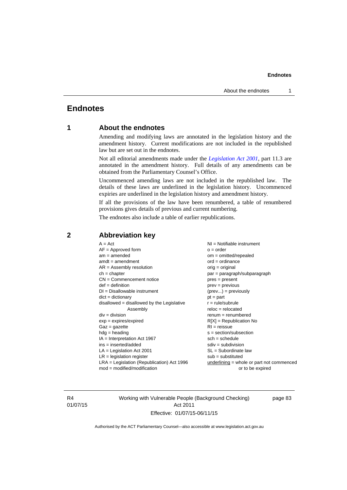## **Endnotes**

## **1 About the endnotes**

Amending and modifying laws are annotated in the legislation history and the amendment history. Current modifications are not included in the republished law but are set out in the endnotes.

Not all editorial amendments made under the *[Legislation Act 2001](http://www.legislation.act.gov.au/a/2001-14)*, part 11.3 are annotated in the amendment history. Full details of any amendments can be obtained from the Parliamentary Counsel's Office.

Uncommenced amending laws are not included in the republished law. The details of these laws are underlined in the legislation history. Uncommenced expiries are underlined in the legislation history and amendment history.

If all the provisions of the law have been renumbered, a table of renumbered provisions gives details of previous and current numbering.

The endnotes also include a table of earlier republications.

| $A = Act$<br>$AF =$ Approved form<br>$am = amended$<br>$amdt = amendment$<br>$AR = Assembly resolution$<br>$ch = chapter$<br>$CN =$ Commencement notice<br>$def = definition$<br>$DI = Disallowable instrument$<br>$dict = dictionary$<br>disallowed = disallowed by the Legislative<br>Assembly<br>$div = division$<br>$exp = expires/expired$<br>$Gaz = gazette$<br>$hdg = heading$<br>$IA = Interpretation Act 1967$<br>$ins = inserted/added$<br>$LA =$ Legislation Act 2001<br>$LR =$ legislation register | NI = Notifiable instrument<br>$o = order$<br>$om = omitted/repealed$<br>$ord = ordinance$<br>$orig = original$<br>par = paragraph/subparagraph<br>$pres = present$<br>$prev = previous$<br>$(\text{prev}) = \text{previously}$<br>$pt = part$<br>$r = rule/subrule$<br>$reloc = relocated$<br>$remum = renumbered$<br>$R[X]$ = Republication No<br>$RI = reissue$<br>$s = section/subsection$<br>$sch = schedule$<br>$sdiv = subdivision$<br>$SL = Subordinate$ law<br>$sub =$ substituted |
|-----------------------------------------------------------------------------------------------------------------------------------------------------------------------------------------------------------------------------------------------------------------------------------------------------------------------------------------------------------------------------------------------------------------------------------------------------------------------------------------------------------------|--------------------------------------------------------------------------------------------------------------------------------------------------------------------------------------------------------------------------------------------------------------------------------------------------------------------------------------------------------------------------------------------------------------------------------------------------------------------------------------------|
|                                                                                                                                                                                                                                                                                                                                                                                                                                                                                                                 |                                                                                                                                                                                                                                                                                                                                                                                                                                                                                            |
| $LRA =$ Legislation (Republication) Act 1996<br>$mod = modified/modification$                                                                                                                                                                                                                                                                                                                                                                                                                                   | $underlining = whole or part not commenced$<br>or to be expired                                                                                                                                                                                                                                                                                                                                                                                                                            |
|                                                                                                                                                                                                                                                                                                                                                                                                                                                                                                                 |                                                                                                                                                                                                                                                                                                                                                                                                                                                                                            |

## **2 Abbreviation key**

R4 01/07/15 Working with Vulnerable People (Background Checking) Act 2011 Effective: 01/07/15-06/11/15

page 83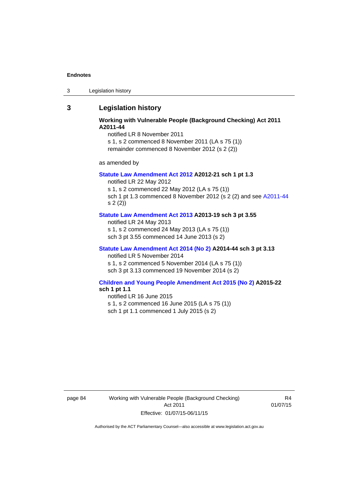3 Legislation history

## **3 Legislation history**

## **Working with Vulnerable People (Background Checking) Act 2011 A2011-44**

notified LR 8 November 2011

s 1, s 2 commenced 8 November 2011 (LA s 75 (1)) remainder commenced 8 November 2012 (s 2 (2))

as amended by

#### **[Statute Law Amendment Act 2012](http://www.legislation.act.gov.au/a/2012-21) A2012-21 sch 1 pt 1.3**

notified LR 22 May 2012

s 1, s 2 commenced 22 May 2012 (LA s 75 (1)) sch 1 pt 1.3 commenced 8 November 2012 (s 2 (2) and see [A2011-44](http://www.legislation.act.gov.au/a/2011-44)

s 2 (2))

## **[Statute Law Amendment Act 2013](http://www.legislation.act.gov.au/a/2013-19) A2013-19 sch 3 pt 3.55**

notified LR 24 May 2013 s 1, s 2 commenced 24 May 2013 (LA s 75 (1)) sch 3 pt 3.55 commenced 14 June 2013 (s 2)

#### **[Statute Law Amendment Act 2014 \(No 2\)](http://www.legislation.act.gov.au/a/2014-44) A2014-44 sch 3 pt 3.13**

notified LR 5 November 2014

s 1, s 2 commenced 5 November 2014 (LA s 75 (1)) sch 3 pt 3.13 commenced 19 November 2014 (s 2)

#### **[Children and Young People Amendment Act 2015 \(No 2\)](http://www.legislation.act.gov.au/a/2015-22/default.asp) A2015-22 sch 1 pt 1.1**

notified LR 16 June 2015

s 1, s 2 commenced 16 June 2015 (LA s 75 (1))

sch 1 pt 1.1 commenced 1 July 2015 (s 2)

page 84 Working with Vulnerable People (Background Checking) Act 2011 Effective: 01/07/15-06/11/15

R4 01/07/15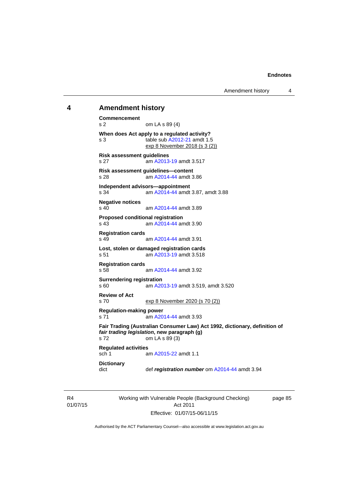#### **4 Amendment history**

```
Commencement 
s 2 om LA s 89 (4) 
When does Act apply to a regulated activity? 
s 3 table sub A2012-21 amdt 1.5 
               exp 8 November 2018 (s 3 (2))
Risk assessment guidelines 
s 27 am A2013-19 amdt 3.517
Risk assessment guidelines—content 
s 28 am A2014-44 amdt 3.86
Independent advisors—appointment 
s 34 am A2014-44 amdt 3.87, amdt 3.88 
Negative notices 
                A2014-44 amdt 3.89
Proposed conditional registration 
s 43 am A2014-44 amdt 3.90
Registration cards 
                A2014-44 amdt 3.91
Lost, stolen or damaged registration cards 
s 51 am A2013-19 amdt 3.518
Registration cards 
                A2014-44 amdt 3.92
Surrendering registration 
s 60 am A2013-19 amdt 3.519, amdt 3.520 
Review of Act 
s 70 exp 8 November 2020 (s 70 (2))
Regulation-making power 
s 71 A2014-44 amdt 3.93
Fair Trading (Australian Consumer Law) Act 1992, dictionary, definition of 
fair trading legislation, new paragraph (g) 
s 72 om LA s 89 (3) 
Regulated activities 
                A2015-22 amdt 1.1
Dictionary 
dict def registration number om A2014-44 amdt 3.94
```
R4 01/07/15 Working with Vulnerable People (Background Checking) Act 2011 Effective: 01/07/15-06/11/15

page 85